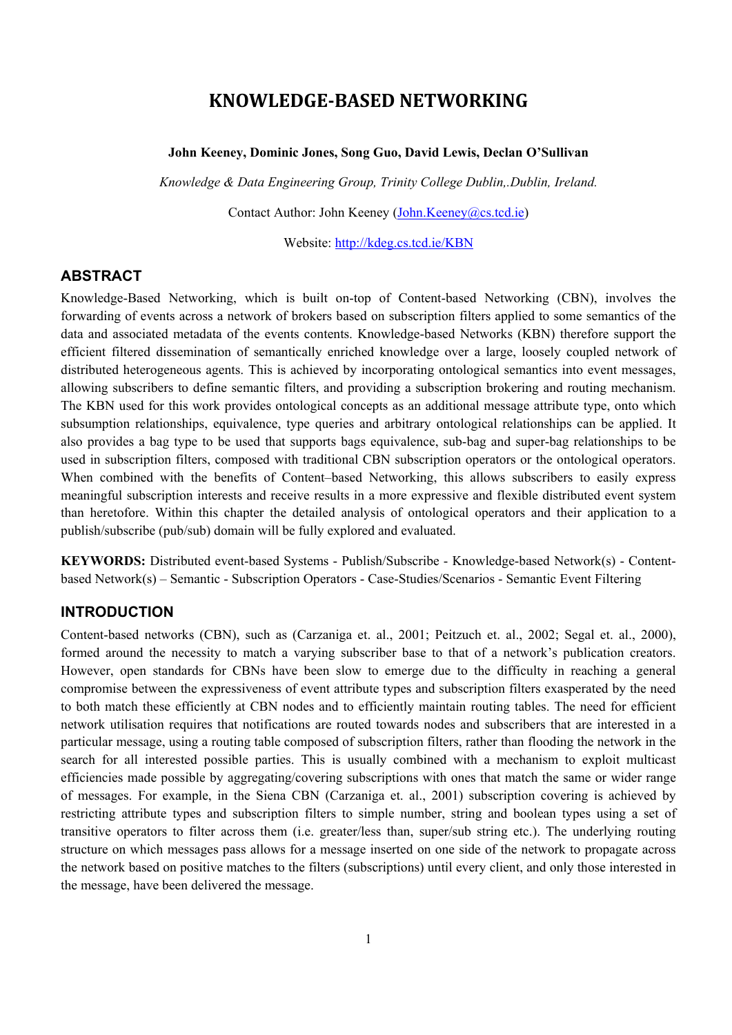# **KNOWLEDGE-BASED NETWORKING**

#### **John Keeney, Dominic Jones, Song Guo, David Lewis, Declan O'Sullivan**

*Knowledge & Data Engineering Group, Trinity College Dublin,.Dublin, Ireland.* 

Contact Author: John Keeney (John.Keeney@cs.tcd.ie)

Website: http://kdeg.cs.tcd.ie/KBN

### **ABSTRACT**

Knowledge-Based Networking, which is built on-top of Content-based Networking (CBN), involves the forwarding of events across a network of brokers based on subscription filters applied to some semantics of the data and associated metadata of the events contents. Knowledge-based Networks (KBN) therefore support the efficient filtered dissemination of semantically enriched knowledge over a large, loosely coupled network of distributed heterogeneous agents. This is achieved by incorporating ontological semantics into event messages, allowing subscribers to define semantic filters, and providing a subscription brokering and routing mechanism. The KBN used for this work provides ontological concepts as an additional message attribute type, onto which subsumption relationships, equivalence, type queries and arbitrary ontological relationships can be applied. It also provides a bag type to be used that supports bags equivalence, sub-bag and super-bag relationships to be used in subscription filters, composed with traditional CBN subscription operators or the ontological operators. When combined with the benefits of Content–based Networking, this allows subscribers to easily express meaningful subscription interests and receive results in a more expressive and flexible distributed event system than heretofore. Within this chapter the detailed analysis of ontological operators and their application to a publish/subscribe (pub/sub) domain will be fully explored and evaluated.

**KEYWORDS:** Distributed event-based Systems - Publish/Subscribe - Knowledge-based Network(s) - Contentbased Network(s) – Semantic - Subscription Operators - Case-Studies/Scenarios - Semantic Event Filtering

### **INTRODUCTION**

Content-based networks (CBN), such as (Carzaniga et. al., 2001; Peitzuch et. al., 2002; Segal et. al., 2000), formed around the necessity to match a varying subscriber base to that of a network's publication creators. However, open standards for CBNs have been slow to emerge due to the difficulty in reaching a general compromise between the expressiveness of event attribute types and subscription filters exasperated by the need to both match these efficiently at CBN nodes and to efficiently maintain routing tables. The need for efficient network utilisation requires that notifications are routed towards nodes and subscribers that are interested in a particular message, using a routing table composed of subscription filters, rather than flooding the network in the search for all interested possible parties. This is usually combined with a mechanism to exploit multicast efficiencies made possible by aggregating/covering subscriptions with ones that match the same or wider range of messages. For example, in the Siena CBN (Carzaniga et. al., 2001) subscription covering is achieved by restricting attribute types and subscription filters to simple number, string and boolean types using a set of transitive operators to filter across them (i.e. greater/less than, super/sub string etc.). The underlying routing structure on which messages pass allows for a message inserted on one side of the network to propagate across the network based on positive matches to the filters (subscriptions) until every client, and only those interested in the message, have been delivered the message.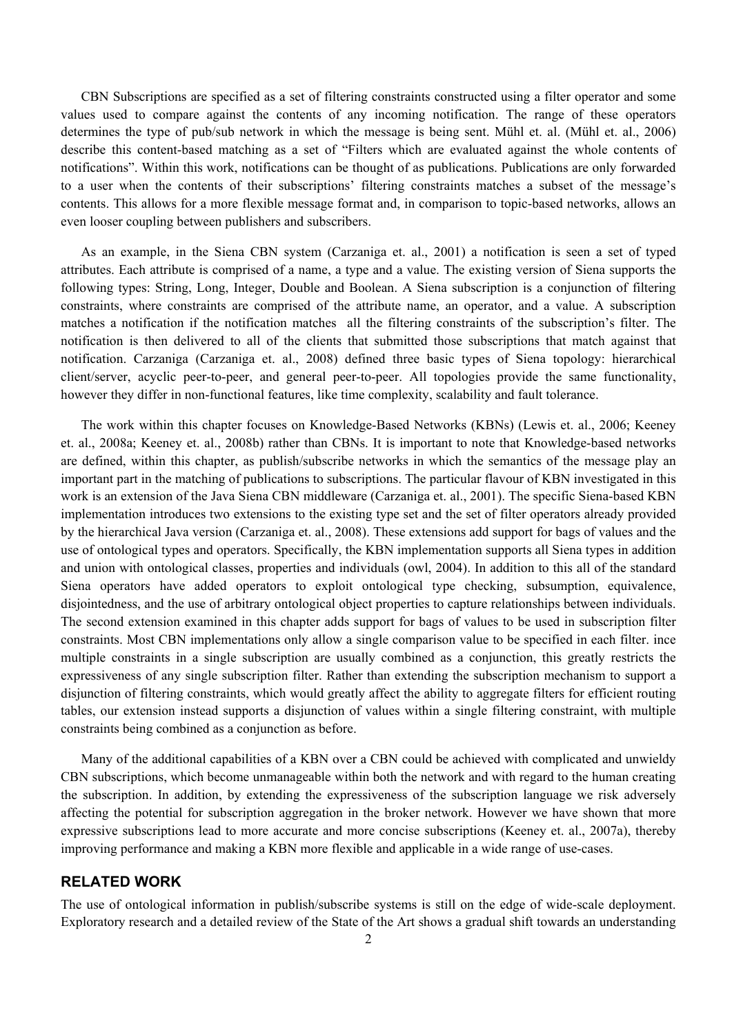CBN Subscriptions are specified as a set of filtering constraints constructed using a filter operator and some values used to compare against the contents of any incoming notification. The range of these operators determines the type of pub/sub network in which the message is being sent. Mühl et. al. (Mühl et. al., 2006) describe this content-based matching as a set of "Filters which are evaluated against the whole contents of notifications". Within this work, notifications can be thought of as publications. Publications are only forwarded to a user when the contents of their subscriptions' filtering constraints matches a subset of the message's contents. This allows for a more flexible message format and, in comparison to topic-based networks, allows an even looser coupling between publishers and subscribers.

As an example, in the Siena CBN system (Carzaniga et. al., 2001) a notification is seen a set of typed attributes. Each attribute is comprised of a name, a type and a value. The existing version of Siena supports the following types: String, Long, Integer, Double and Boolean. A Siena subscription is a conjunction of filtering constraints, where constraints are comprised of the attribute name, an operator, and a value. A subscription matches a notification if the notification matches all the filtering constraints of the subscription's filter. The notification is then delivered to all of the clients that submitted those subscriptions that match against that notification. Carzaniga (Carzaniga et. al., 2008) defined three basic types of Siena topology: hierarchical client/server, acyclic peer-to-peer, and general peer-to-peer. All topologies provide the same functionality, however they differ in non-functional features, like time complexity, scalability and fault tolerance.

The work within this chapter focuses on Knowledge-Based Networks (KBNs) (Lewis et. al., 2006; Keeney et. al., 2008a; Keeney et. al., 2008b) rather than CBNs. It is important to note that Knowledge-based networks are defined, within this chapter, as publish/subscribe networks in which the semantics of the message play an important part in the matching of publications to subscriptions. The particular flavour of KBN investigated in this work is an extension of the Java Siena CBN middleware (Carzaniga et. al., 2001). The specific Siena-based KBN implementation introduces two extensions to the existing type set and the set of filter operators already provided by the hierarchical Java version (Carzaniga et. al., 2008). These extensions add support for bags of values and the use of ontological types and operators. Specifically, the KBN implementation supports all Siena types in addition and union with ontological classes, properties and individuals (owl, 2004). In addition to this all of the standard Siena operators have added operators to exploit ontological type checking, subsumption, equivalence, disjointedness, and the use of arbitrary ontological object properties to capture relationships between individuals. The second extension examined in this chapter adds support for bags of values to be used in subscription filter constraints. Most CBN implementations only allow a single comparison value to be specified in each filter. ince multiple constraints in a single subscription are usually combined as a conjunction, this greatly restricts the expressiveness of any single subscription filter. Rather than extending the subscription mechanism to support a disjunction of filtering constraints, which would greatly affect the ability to aggregate filters for efficient routing tables, our extension instead supports a disjunction of values within a single filtering constraint, with multiple constraints being combined as a conjunction as before.

Many of the additional capabilities of a KBN over a CBN could be achieved with complicated and unwieldy CBN subscriptions, which become unmanageable within both the network and with regard to the human creating the subscription. In addition, by extending the expressiveness of the subscription language we risk adversely affecting the potential for subscription aggregation in the broker network. However we have shown that more expressive subscriptions lead to more accurate and more concise subscriptions (Keeney et. al., 2007a), thereby improving performance and making a KBN more flexible and applicable in a wide range of use-cases.

### **RELATED WORK**

The use of ontological information in publish/subscribe systems is still on the edge of wide-scale deployment. Exploratory research and a detailed review of the State of the Art shows a gradual shift towards an understanding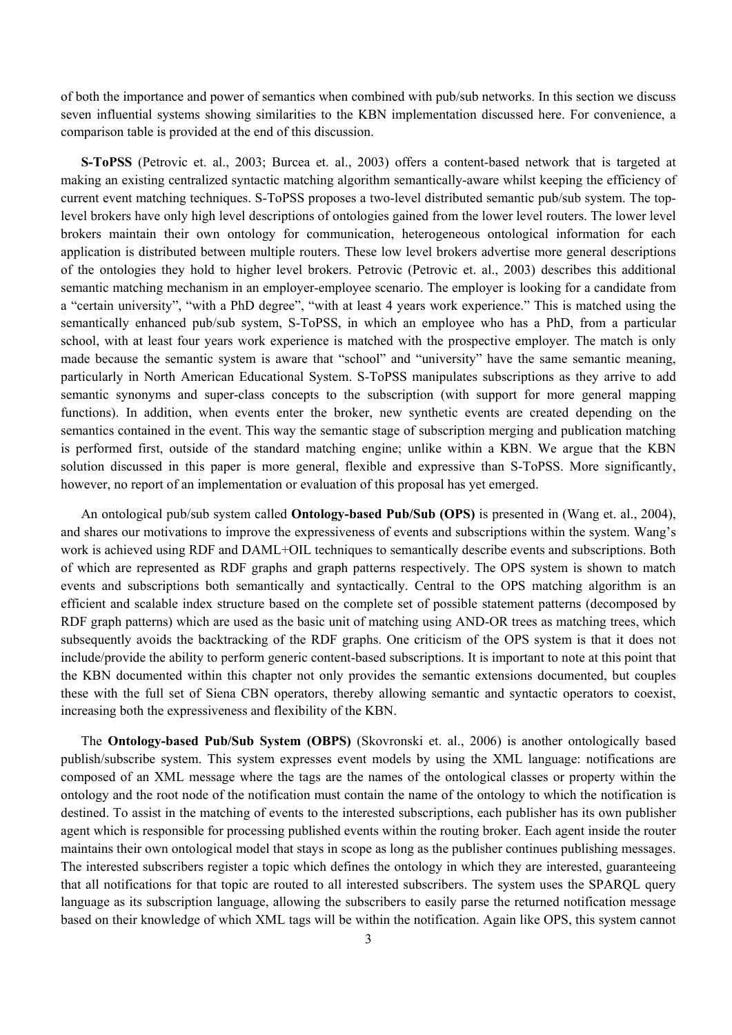of both the importance and power of semantics when combined with pub/sub networks. In this section we discuss seven influential systems showing similarities to the KBN implementation discussed here. For convenience, a comparison table is provided at the end of this discussion.

**S-ToPSS** (Petrovic et. al., 2003; Burcea et. al., 2003) offers a content-based network that is targeted at making an existing centralized syntactic matching algorithm semantically-aware whilst keeping the efficiency of current event matching techniques. S-ToPSS proposes a two-level distributed semantic pub/sub system. The toplevel brokers have only high level descriptions of ontologies gained from the lower level routers. The lower level brokers maintain their own ontology for communication, heterogeneous ontological information for each application is distributed between multiple routers. These low level brokers advertise more general descriptions of the ontologies they hold to higher level brokers. Petrovic (Petrovic et. al., 2003) describes this additional semantic matching mechanism in an employer-employee scenario. The employer is looking for a candidate from a "certain university", "with a PhD degree", "with at least 4 years work experience." This is matched using the semantically enhanced pub/sub system, S-ToPSS, in which an employee who has a PhD, from a particular school, with at least four years work experience is matched with the prospective employer. The match is only made because the semantic system is aware that "school" and "university" have the same semantic meaning, particularly in North American Educational System. S-ToPSS manipulates subscriptions as they arrive to add semantic synonyms and super-class concepts to the subscription (with support for more general mapping functions). In addition, when events enter the broker, new synthetic events are created depending on the semantics contained in the event. This way the semantic stage of subscription merging and publication matching is performed first, outside of the standard matching engine; unlike within a KBN. We argue that the KBN solution discussed in this paper is more general, flexible and expressive than S-ToPSS. More significantly, however, no report of an implementation or evaluation of this proposal has yet emerged.

An ontological pub/sub system called **Ontology-based Pub/Sub (OPS)** is presented in (Wang et. al., 2004), and shares our motivations to improve the expressiveness of events and subscriptions within the system. Wang's work is achieved using RDF and DAML+OIL techniques to semantically describe events and subscriptions. Both of which are represented as RDF graphs and graph patterns respectively. The OPS system is shown to match events and subscriptions both semantically and syntactically. Central to the OPS matching algorithm is an efficient and scalable index structure based on the complete set of possible statement patterns (decomposed by RDF graph patterns) which are used as the basic unit of matching using AND-OR trees as matching trees, which subsequently avoids the backtracking of the RDF graphs. One criticism of the OPS system is that it does not include/provide the ability to perform generic content-based subscriptions. It is important to note at this point that the KBN documented within this chapter not only provides the semantic extensions documented, but couples these with the full set of Siena CBN operators, thereby allowing semantic and syntactic operators to coexist, increasing both the expressiveness and flexibility of the KBN.

The **Ontology-based Pub/Sub System (OBPS)** (Skovronski et. al., 2006) is another ontologically based publish/subscribe system. This system expresses event models by using the XML language: notifications are composed of an XML message where the tags are the names of the ontological classes or property within the ontology and the root node of the notification must contain the name of the ontology to which the notification is destined. To assist in the matching of events to the interested subscriptions, each publisher has its own publisher agent which is responsible for processing published events within the routing broker. Each agent inside the router maintains their own ontological model that stays in scope as long as the publisher continues publishing messages. The interested subscribers register a topic which defines the ontology in which they are interested, guaranteeing that all notifications for that topic are routed to all interested subscribers. The system uses the SPARQL query language as its subscription language, allowing the subscribers to easily parse the returned notification message based on their knowledge of which XML tags will be within the notification. Again like OPS, this system cannot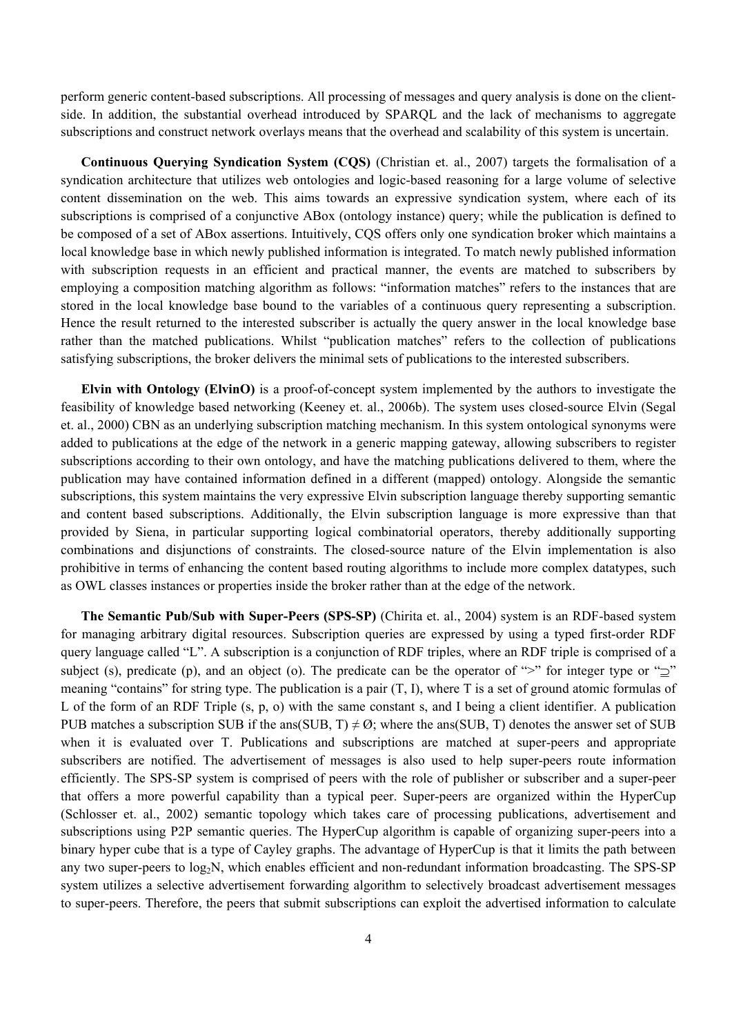perform generic content-based subscriptions. All processing of messages and query analysis is done on the clientside. In addition, the substantial overhead introduced by SPARQL and the lack of mechanisms to aggregate subscriptions and construct network overlays means that the overhead and scalability of this system is uncertain.

**Continuous Querying Syndication System (CQS)** (Christian et. al., 2007) targets the formalisation of a syndication architecture that utilizes web ontologies and logic-based reasoning for a large volume of selective content dissemination on the web. This aims towards an expressive syndication system, where each of its subscriptions is comprised of a conjunctive ABox (ontology instance) query; while the publication is defined to be composed of a set of ABox assertions. Intuitively, CQS offers only one syndication broker which maintains a local knowledge base in which newly published information is integrated. To match newly published information with subscription requests in an efficient and practical manner, the events are matched to subscribers by employing a composition matching algorithm as follows: "information matches" refers to the instances that are stored in the local knowledge base bound to the variables of a continuous query representing a subscription. Hence the result returned to the interested subscriber is actually the query answer in the local knowledge base rather than the matched publications. Whilst "publication matches" refers to the collection of publications satisfying subscriptions, the broker delivers the minimal sets of publications to the interested subscribers.

**Elvin with Ontology (ElvinO)** is a proof-of-concept system implemented by the authors to investigate the feasibility of knowledge based networking (Keeney et. al., 2006b). The system uses closed-source Elvin (Segal et. al., 2000) CBN as an underlying subscription matching mechanism. In this system ontological synonyms were added to publications at the edge of the network in a generic mapping gateway, allowing subscribers to register subscriptions according to their own ontology, and have the matching publications delivered to them, where the publication may have contained information defined in a different (mapped) ontology. Alongside the semantic subscriptions, this system maintains the very expressive Elvin subscription language thereby supporting semantic and content based subscriptions. Additionally, the Elvin subscription language is more expressive than that provided by Siena, in particular supporting logical combinatorial operators, thereby additionally supporting combinations and disjunctions of constraints. The closed-source nature of the Elvin implementation is also prohibitive in terms of enhancing the content based routing algorithms to include more complex datatypes, such as OWL classes instances or properties inside the broker rather than at the edge of the network.

**The Semantic Pub/Sub with Super-Peers (SPS-SP)** (Chirita et. al., 2004) system is an RDF-based system for managing arbitrary digital resources. Subscription queries are expressed by using a typed first-order RDF query language called "L". A subscription is a conjunction of RDF triples, where an RDF triple is comprised of a subject (s), predicate (p), and an object (o). The predicate can be the operator of ">" for integer type or " $\supseteq$ " meaning "contains" for string type. The publication is a pair (T, I), where T is a set of ground atomic formulas of L of the form of an RDF Triple (s, p, o) with the same constant s, and I being a client identifier. A publication PUB matches a subscription SUB if the ans(SUB, T)  $\neq \emptyset$ ; where the ans(SUB, T) denotes the answer set of SUB when it is evaluated over T. Publications and subscriptions are matched at super-peers and appropriate subscribers are notified. The advertisement of messages is also used to help super-peers route information efficiently. The SPS-SP system is comprised of peers with the role of publisher or subscriber and a super-peer that offers a more powerful capability than a typical peer. Super-peers are organized within the HyperCup (Schlosser et. al., 2002) semantic topology which takes care of processing publications, advertisement and subscriptions using P2P semantic queries. The HyperCup algorithm is capable of organizing super-peers into a binary hyper cube that is a type of Cayley graphs. The advantage of HyperCup is that it limits the path between any two super-peers to log<sub>2</sub>N, which enables efficient and non-redundant information broadcasting. The SPS-SP system utilizes a selective advertisement forwarding algorithm to selectively broadcast advertisement messages to super-peers. Therefore, the peers that submit subscriptions can exploit the advertised information to calculate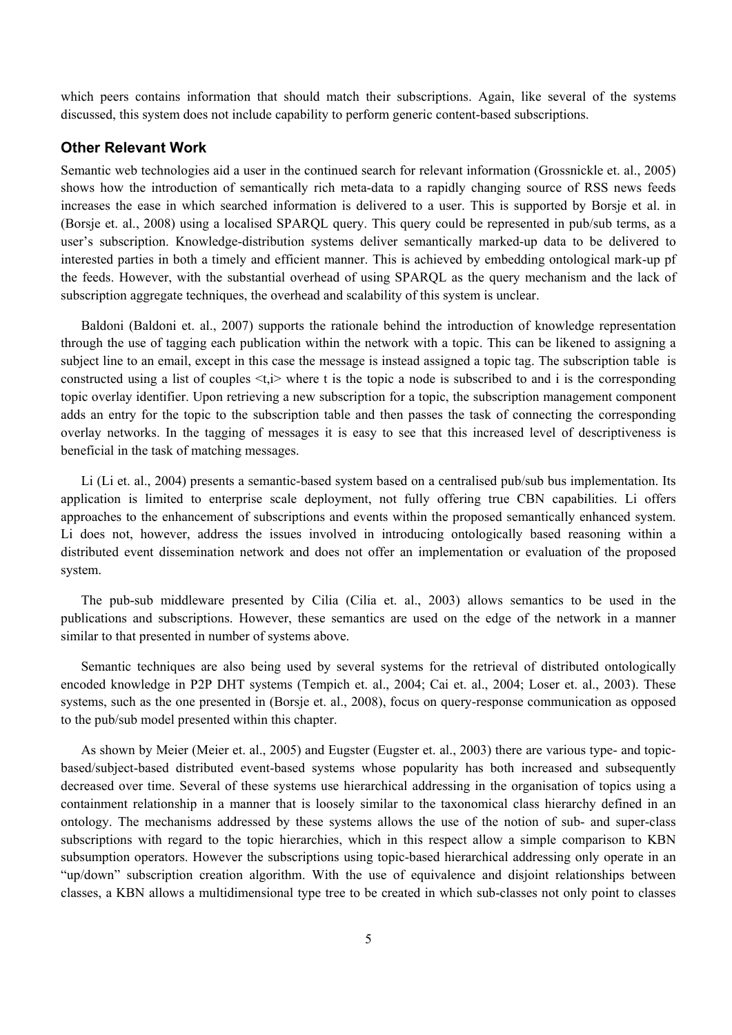which peers contains information that should match their subscriptions. Again, like several of the systems discussed, this system does not include capability to perform generic content-based subscriptions.

### **Other Relevant Work**

Semantic web technologies aid a user in the continued search for relevant information (Grossnickle et. al., 2005) shows how the introduction of semantically rich meta-data to a rapidly changing source of RSS news feeds increases the ease in which searched information is delivered to a user. This is supported by Borsje et al. in (Borsje et. al., 2008) using a localised SPARQL query. This query could be represented in pub/sub terms, as a user's subscription. Knowledge-distribution systems deliver semantically marked-up data to be delivered to interested parties in both a timely and efficient manner. This is achieved by embedding ontological mark-up pf the feeds. However, with the substantial overhead of using SPARQL as the query mechanism and the lack of subscription aggregate techniques, the overhead and scalability of this system is unclear.

Baldoni (Baldoni et. al., 2007) supports the rationale behind the introduction of knowledge representation through the use of tagging each publication within the network with a topic. This can be likened to assigning a subject line to an email, except in this case the message is instead assigned a topic tag. The subscription table is constructed using a list of couples  $\langle t, i \rangle$  where t is the topic a node is subscribed to and i is the corresponding topic overlay identifier. Upon retrieving a new subscription for a topic, the subscription management component adds an entry for the topic to the subscription table and then passes the task of connecting the corresponding overlay networks. In the tagging of messages it is easy to see that this increased level of descriptiveness is beneficial in the task of matching messages.

Li (Li et. al., 2004) presents a semantic-based system based on a centralised pub/sub bus implementation. Its application is limited to enterprise scale deployment, not fully offering true CBN capabilities. Li offers approaches to the enhancement of subscriptions and events within the proposed semantically enhanced system. Li does not, however, address the issues involved in introducing ontologically based reasoning within a distributed event dissemination network and does not offer an implementation or evaluation of the proposed system.

The pub-sub middleware presented by Cilia (Cilia et. al., 2003) allows semantics to be used in the publications and subscriptions. However, these semantics are used on the edge of the network in a manner similar to that presented in number of systems above.

Semantic techniques are also being used by several systems for the retrieval of distributed ontologically encoded knowledge in P2P DHT systems (Tempich et. al., 2004; Cai et. al., 2004; Loser et. al., 2003). These systems, such as the one presented in (Borsje et. al., 2008), focus on query-response communication as opposed to the pub/sub model presented within this chapter.

As shown by Meier (Meier et. al., 2005) and Eugster (Eugster et. al., 2003) there are various type- and topicbased/subject-based distributed event-based systems whose popularity has both increased and subsequently decreased over time. Several of these systems use hierarchical addressing in the organisation of topics using a containment relationship in a manner that is loosely similar to the taxonomical class hierarchy defined in an ontology. The mechanisms addressed by these systems allows the use of the notion of sub- and super-class subscriptions with regard to the topic hierarchies, which in this respect allow a simple comparison to KBN subsumption operators. However the subscriptions using topic-based hierarchical addressing only operate in an "up/down" subscription creation algorithm. With the use of equivalence and disjoint relationships between classes, a KBN allows a multidimensional type tree to be created in which sub-classes not only point to classes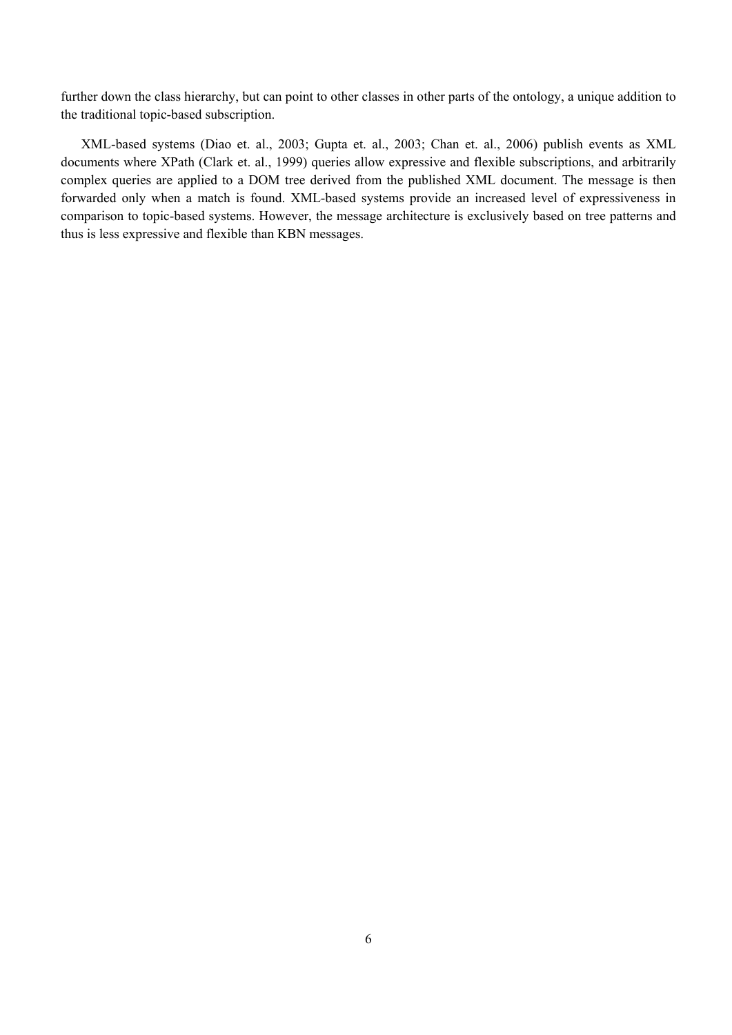further down the class hierarchy, but can point to other classes in other parts of the ontology, a unique addition to the traditional topic-based subscription.

XML-based systems (Diao et. al., 2003; Gupta et. al., 2003; Chan et. al., 2006) publish events as XML documents where XPath (Clark et. al., 1999) queries allow expressive and flexible subscriptions, and arbitrarily complex queries are applied to a DOM tree derived from the published XML document. The message is then forwarded only when a match is found. XML-based systems provide an increased level of expressiveness in comparison to topic-based systems. However, the message architecture is exclusively based on tree patterns and thus is less expressive and flexible than KBN messages.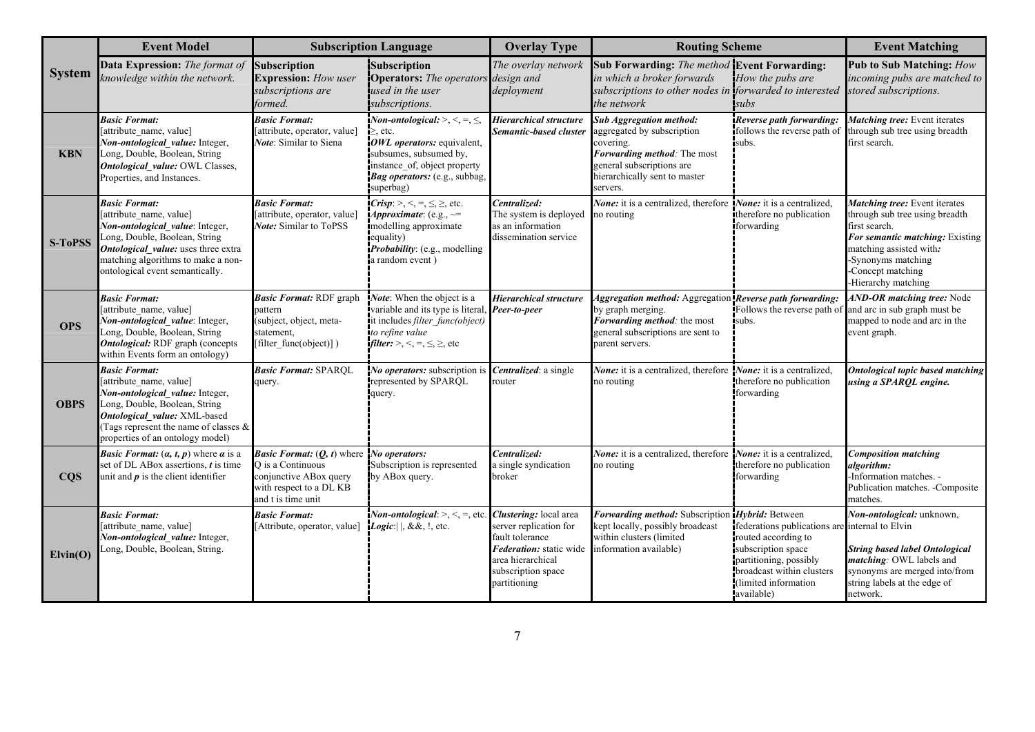|                | <b>Event Model</b>                                                                                                                                                                                                                 | <b>Subscription Language</b>                                                                                                                             |                                                                                                                                                                                                     | <b>Overlay Type</b>                                                                                                                                              | <b>Routing Scheme</b>                                                                                                                                                              |                                                                                                                                                                                           | <b>Event Matching</b>                                                                                                                                                                                                   |
|----------------|------------------------------------------------------------------------------------------------------------------------------------------------------------------------------------------------------------------------------------|----------------------------------------------------------------------------------------------------------------------------------------------------------|-----------------------------------------------------------------------------------------------------------------------------------------------------------------------------------------------------|------------------------------------------------------------------------------------------------------------------------------------------------------------------|------------------------------------------------------------------------------------------------------------------------------------------------------------------------------------|-------------------------------------------------------------------------------------------------------------------------------------------------------------------------------------------|-------------------------------------------------------------------------------------------------------------------------------------------------------------------------------------------------------------------------|
| <b>System</b>  | Data Expression: The format of<br>knowledge within the network.                                                                                                                                                                    | <b>Subscription</b><br><b>Expression:</b> How user<br>subscriptions are<br>formed.                                                                       | Subscription<br><b>Operators:</b> The operators design and<br>used in the user<br>subscriptions.                                                                                                    | The overlay network<br>deployment                                                                                                                                | Sub Forwarding: The method Event Forwarding:<br>in which a broker forwards<br>subscriptions to other nodes in forwarded to interested<br>the network                               | How the pubs are<br>subs                                                                                                                                                                  | <b>Pub to Sub Matching: How</b><br>incoming pubs are matched to<br>stored subscriptions.                                                                                                                                |
| <b>KBN</b>     | <b>Basic Format:</b><br>attribute name, value]<br>Non-ontological value: Integer,<br>Long, Double, Boolean, String<br><b>Ontological value: OWL Classes,</b><br>Properties, and Instances.                                         | <b>Basic Format:</b><br>[attribute, operator, value]<br>Note: Similar to Siena                                                                           | Non-ontological: $>$ , $\lt$ , $=$ , $\leq$ ,<br>$\ge$ , etc.<br>OWL operators: equivalent,<br>subsumes, subsumed by,<br>instance of, object property<br>Bag operators: (e.g., subbag,<br>superbag) | <b>Hierarchical structure</b><br>Semantic-based cluster                                                                                                          | <b>Sub Aggregation method:</b><br>aggregated by subscription<br>covering.<br>Forwarding method: The most<br>general subscriptions are<br>hierarchically sent to master<br>servers. | Reverse path forwarding:<br>subs.                                                                                                                                                         | Matching tree: Event iterates<br>follows the reverse path of through sub tree using breadth<br>first search.                                                                                                            |
| <b>S-ToPSS</b> | <b>Basic Format:</b><br>attribute name, value]<br>Non-ontological value: Integer,<br>Long, Double, Boolean, String<br>Ontological value: uses three extra<br>matching algorithms to make a non-<br>ontological event semantically. | <b>Basic Format:</b><br>[attribute, operator, value]<br>Note: Similar to ToPSS                                                                           | $Crisp: >, <, =, \le, \ge, etc.$<br>Approximate: $(e.g., \sim=$<br>modelling approximate<br>requality)<br>Probability: (e.g., modelling<br>a random event)                                          | Centralized:<br>The system is deployed<br>as an information<br>dissemination service                                                                             | None: it is a centralized, therefore None: it is a centralized,<br>no routing                                                                                                      | therefore no publication<br>forwarding                                                                                                                                                    | <b>Matching tree:</b> Event iterates<br>through sub tree using breadth<br>first search.<br>For semantic matching: Existing<br>matching assisted with:<br>-Synonyms matching<br>-Concept matching<br>-Hierarchy matching |
| <b>OPS</b>     | <b>Basic Format:</b><br>[attribute name, value]<br>Non-ontological value: Integer,<br>Long, Double, Boolean, String<br><b>Ontological:</b> RDF graph (concepts<br>within Events form an ontology)                                  | <b>Basic Format: RDF graph</b><br>pattern<br>(subject, object, meta-<br>statement.<br>[filter_func(object)])                                             | <i>Note:</i> When the object is a<br>variable and its type is literal.<br>it includes filter func(object)<br>to refine value<br>filter: >, <, =, $\leq, \geq$ , etc                                 | <b>Hierarchical structure</b><br>Peer-to-peer                                                                                                                    | Aggregation method: Aggregation Reverse path forwarding:<br>by graph merging.<br>Forwarding method: the most<br>general subscriptions are sent to<br>parent servers.               | Follows the reverse path of<br>subs.                                                                                                                                                      | AND-OR matching tree: Node<br>and arc in sub graph must be<br>mapped to node and arc in the<br>event graph.                                                                                                             |
| <b>OBPS</b>    | <b>Basic Format:</b><br>[attribute_name, value]<br>Non-ontological value: Integer,<br>Long, Double, Boolean, String<br>Ontological value: XML-based<br>Tags represent the name of classes $\&$<br>properties of an ontology model) | <b>Basic Format: SPAROL</b><br>query.                                                                                                                    | <i>No operators:</i> subscription is<br>represented by SPARQL<br>query.                                                                                                                             | Centralized: a single<br>router                                                                                                                                  | None: it is a centralized, therefore None: it is a centralized,<br>no routing                                                                                                      | therefore no publication<br>forwarding                                                                                                                                                    | <b>Ontological topic based matching</b><br>using a SPARQL engine.                                                                                                                                                       |
| <b>CQS</b>     | <b>Basic Format:</b> $(a, t, p)$ where $\alpha$ is a<br>set of DL ABox assertions, $t$ is time<br>unit and $p$ is the client identifier                                                                                            | <b>Basic Format:</b> $(Q, t)$ where <i>No operators:</i><br>O is a Continuous<br>conjunctive ABox query<br>with respect to a DL KB<br>and t is time unit | Subscription is represented<br>by ABox query.                                                                                                                                                       | Centralized:<br>a single syndication<br>broker                                                                                                                   | <b>None:</b> it is a centralized, therefore <b>None:</b> it is a centralized,<br>no routing                                                                                        | therefore no publication<br>forwarding                                                                                                                                                    | <b>Composition matching</b><br>algorithm:<br>-Information matches. -<br>Publication matches. -Composite<br>matches.                                                                                                     |
| Eivin(O)       | <b>Basic Format:</b><br>[attribute name, value]<br>Non-ontological value: Integer,<br>Long, Double, Boolean, String.                                                                                                               | <b>Basic Format:</b><br>[Attribute, operator, value]                                                                                                     | <b>Non-ontological</b> : $>$ , $<$ , $=$ , etc.<br><b>Logic</b> : $\vert \cdot \vert$ , &&, !, etc.                                                                                                 | <b>Clustering:</b> local area<br>server replication for<br>fault tolerance<br>Federation: static wide<br>area hierarchical<br>subscription space<br>partitioning | Forwarding method: Subscription Hybrid: Between<br>kept locally, possibly broadcast<br>within clusters (limited<br>information available)                                          | rederations publications are internal to Elvin<br>routed according to<br>subscription space<br>partitioning, possibly<br>broadcast within clusters<br>(limited information)<br>available) | Non-ontological: unknown,<br><b>String based label Ontological</b><br>matching: OWL labels and<br>synonyms are merged into/from<br>string labels at the edge of<br>network.                                             |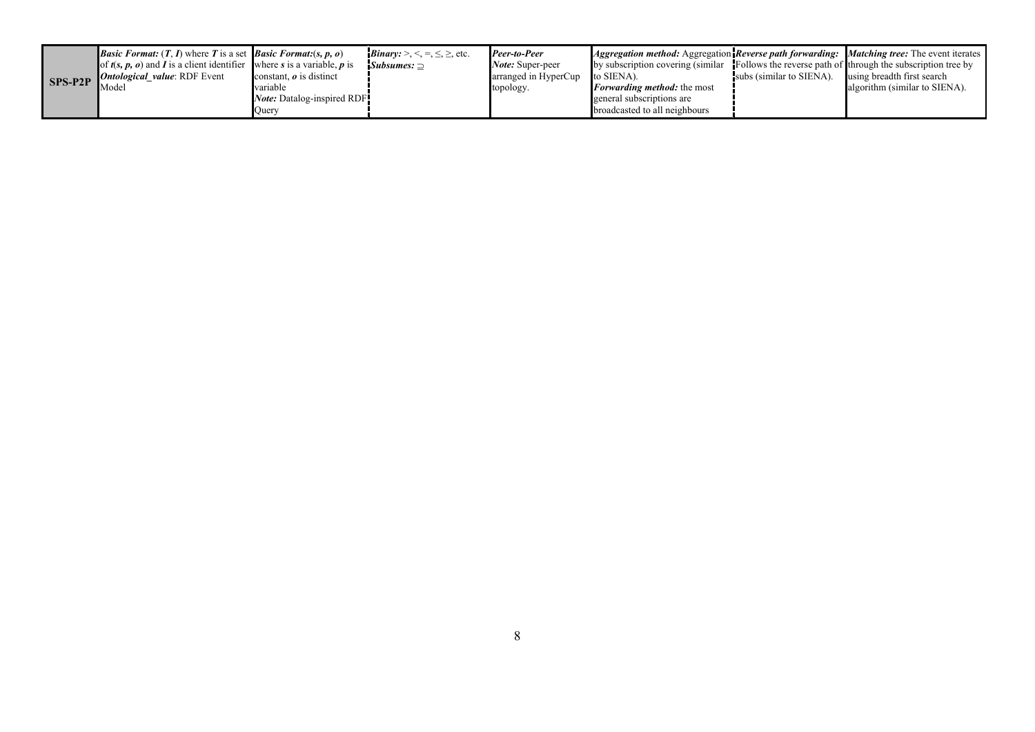| $SPS-P2P$ | <b>Basic Format:</b> $(T, I)$ where T is a set <b>Basic Format:</b> $(s, p, o)$ |                                           | <b>Binary:</b> $>$ , $\leq$ , $=$ , $\leq$ , $\geq$ , etc. | Peer-to-Peer            | <i>Aggregation method:</i> Aggregation <i>Reverse path forwarding: Matching tree:</i> The event iterates |                          |                               |
|-----------|---------------------------------------------------------------------------------|-------------------------------------------|------------------------------------------------------------|-------------------------|----------------------------------------------------------------------------------------------------------|--------------------------|-------------------------------|
|           | of $t(s, p, o)$ and I is a client identifier where s is a variable, p is        |                                           | $Subsumes: \supset$                                        | <i>Note:</i> Super-peer | by subscription covering (similar) Follows the reverse path of through the subscription tree by          |                          |                               |
|           | <i><b>Ontological value: RDF Event</b></i>                                      | constant, $\boldsymbol{\rho}$ is distinct |                                                            | arranged in HyperCup    | to SIENA).                                                                                               | subs (similar to SIENA). | using breadth first search    |
|           | Model                                                                           | variable                                  |                                                            | topology.               | <b>Forwarding method:</b> the most                                                                       |                          | algorithm (similar to SIENA). |
|           |                                                                                 | <b>Note:</b> Datalog-inspired RDF         |                                                            |                         | general subscriptions are                                                                                |                          |                               |
|           |                                                                                 | Ouerv                                     |                                                            |                         | broadcasted to all neighbours                                                                            |                          |                               |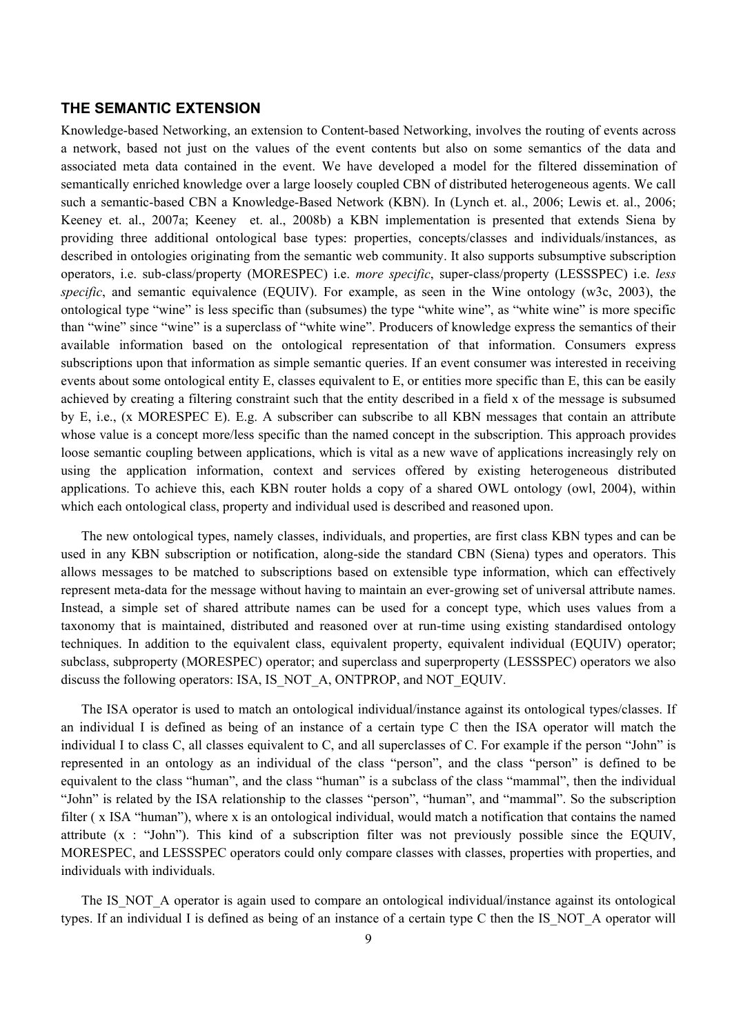### **THE SEMANTIC EXTENSION**

Knowledge-based Networking, an extension to Content-based Networking, involves the routing of events across a network, based not just on the values of the event contents but also on some semantics of the data and associated meta data contained in the event. We have developed a model for the filtered dissemination of semantically enriched knowledge over a large loosely coupled CBN of distributed heterogeneous agents. We call such a semantic-based CBN a Knowledge-Based Network (KBN). In (Lynch et. al., 2006; Lewis et. al., 2006; Keeney et. al., 2007a; Keeney et. al., 2008b) a KBN implementation is presented that extends Siena by providing three additional ontological base types: properties, concepts/classes and individuals/instances, as described in ontologies originating from the semantic web community. It also supports subsumptive subscription operators, i.e. sub-class/property (MORESPEC) i.e. *more specific*, super-class/property (LESSSPEC) i.e. *less specific*, and semantic equivalence (EQUIV). For example, as seen in the Wine ontology (w3c, 2003), the ontological type "wine" is less specific than (subsumes) the type "white wine", as "white wine" is more specific than "wine" since "wine" is a superclass of "white wine". Producers of knowledge express the semantics of their available information based on the ontological representation of that information. Consumers express subscriptions upon that information as simple semantic queries. If an event consumer was interested in receiving events about some ontological entity E, classes equivalent to E, or entities more specific than E, this can be easily achieved by creating a filtering constraint such that the entity described in a field x of the message is subsumed by E, i.e., (x MORESPEC E). E.g. A subscriber can subscribe to all KBN messages that contain an attribute whose value is a concept more/less specific than the named concept in the subscription. This approach provides loose semantic coupling between applications, which is vital as a new wave of applications increasingly rely on using the application information, context and services offered by existing heterogeneous distributed applications. To achieve this, each KBN router holds a copy of a shared OWL ontology (owl, 2004), within which each ontological class, property and individual used is described and reasoned upon.

The new ontological types, namely classes, individuals, and properties, are first class KBN types and can be used in any KBN subscription or notification, along-side the standard CBN (Siena) types and operators. This allows messages to be matched to subscriptions based on extensible type information, which can effectively represent meta-data for the message without having to maintain an ever-growing set of universal attribute names. Instead, a simple set of shared attribute names can be used for a concept type, which uses values from a taxonomy that is maintained, distributed and reasoned over at run-time using existing standardised ontology techniques. In addition to the equivalent class, equivalent property, equivalent individual (EQUIV) operator; subclass, subproperty (MORESPEC) operator; and superclass and superproperty (LESSSPEC) operators we also discuss the following operators: ISA, IS\_NOT\_A, ONTPROP, and NOT\_EQUIV.

The ISA operator is used to match an ontological individual/instance against its ontological types/classes. If an individual I is defined as being of an instance of a certain type C then the ISA operator will match the individual I to class C, all classes equivalent to C, and all superclasses of C. For example if the person "John" is represented in an ontology as an individual of the class "person", and the class "person" is defined to be equivalent to the class "human", and the class "human" is a subclass of the class "mammal", then the individual "John" is related by the ISA relationship to the classes "person", "human", and "mammal". So the subscription filter ( x ISA "human"), where x is an ontological individual, would match a notification that contains the named attribute (x : "John"). This kind of a subscription filter was not previously possible since the EQUIV, MORESPEC, and LESSSPEC operators could only compare classes with classes, properties with properties, and individuals with individuals.

The IS NOT A operator is again used to compare an ontological individual/instance against its ontological types. If an individual I is defined as being of an instance of a certain type C then the IS\_NOT\_A operator will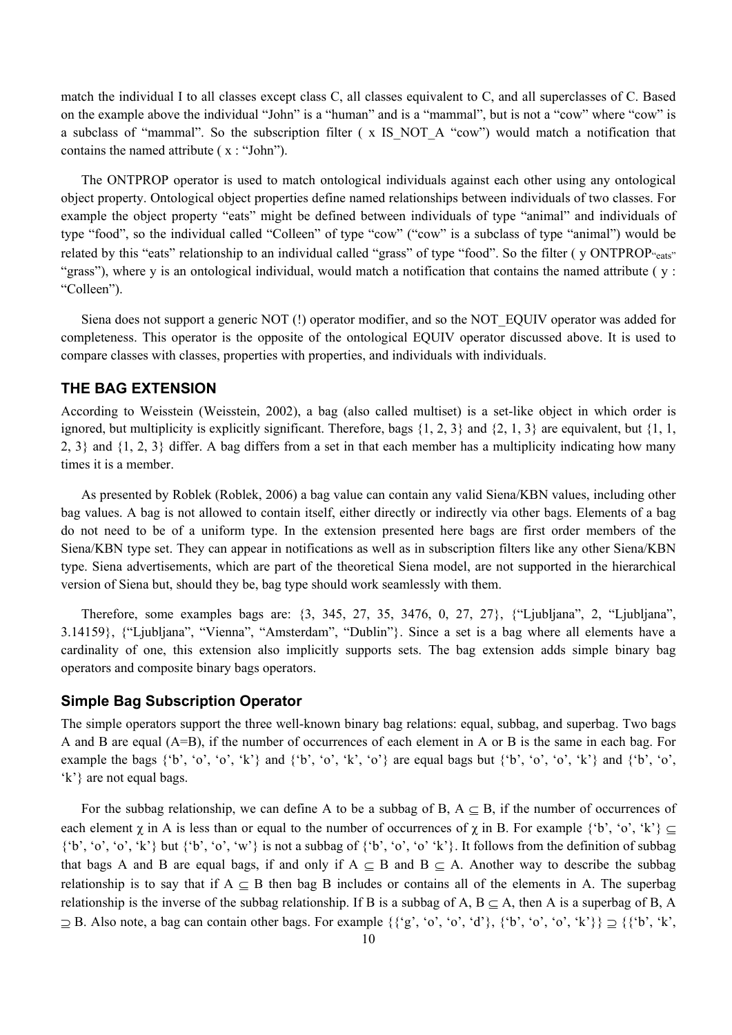match the individual I to all classes except class C, all classes equivalent to C, and all superclasses of C. Based on the example above the individual "John" is a "human" and is a "mammal", but is not a "cow" where "cow" is a subclass of "mammal". So the subscription filter ( x IS\_NOT\_A "cow") would match a notification that contains the named attribute ( x : "John").

The ONTPROP operator is used to match ontological individuals against each other using any ontological object property. Ontological object properties define named relationships between individuals of two classes. For example the object property "eats" might be defined between individuals of type "animal" and individuals of type "food", so the individual called "Colleen" of type "cow" ("cow" is a subclass of type "animal") would be related by this "eats" relationship to an individual called "grass" of type "food". So the filter (y ONTPROP<sub>"eats"</sub> "grass"), where y is an ontological individual, would match a notification that contains the named attribute (y : "Colleen").

Siena does not support a generic NOT (!) operator modifier, and so the NOT\_EQUIV operator was added for completeness. This operator is the opposite of the ontological EQUIV operator discussed above. It is used to compare classes with classes, properties with properties, and individuals with individuals.

### **THE BAG EXTENSION**

According to Weisstein (Weisstein, 2002), a bag (also called multiset) is a set-like object in which order is ignored, but multiplicity is explicitly significant. Therefore, bags  $\{1, 2, 3\}$  and  $\{2, 1, 3\}$  are equivalent, but  $\{1, 1, 1\}$ 2, 3} and {1, 2, 3} differ. A bag differs from a set in that each member has a multiplicity indicating how many times it is a member.

As presented by Roblek (Roblek, 2006) a bag value can contain any valid Siena/KBN values, including other bag values. A bag is not allowed to contain itself, either directly or indirectly via other bags. Elements of a bag do not need to be of a uniform type. In the extension presented here bags are first order members of the Siena/KBN type set. They can appear in notifications as well as in subscription filters like any other Siena/KBN type. Siena advertisements, which are part of the theoretical Siena model, are not supported in the hierarchical version of Siena but, should they be, bag type should work seamlessly with them.

Therefore, some examples bags are: {3, 345, 27, 35, 3476, 0, 27, 27}, {"Ljubljana", 2, "Ljubljana", 3.14159}, {"Ljubljana", "Vienna", "Amsterdam", "Dublin"}. Since a set is a bag where all elements have a cardinality of one, this extension also implicitly supports sets. The bag extension adds simple binary bag operators and composite binary bags operators.

### **Simple Bag Subscription Operator**

The simple operators support the three well-known binary bag relations: equal, subbag, and superbag. Two bags A and B are equal (A=B), if the number of occurrences of each element in A or B is the same in each bag. For example the bags  $\{b', b', b', c', k'\}$  and  $\{b', b', b', k', b'\}$  are equal bags but  $\{b', b', b', k'\}$  and  $\{b', b', b'\}$ 'k'} are not equal bags.

For the subbag relationship, we can define A to be a subbag of B,  $A \subseteq B$ , if the number of occurrences of each element  $\chi$  in A is less than or equal to the number of occurrences of  $\chi$  in B. For example {'b', 'o', 'k'}  $\subseteq$  $\{\mathbf{b}, \mathbf{b}, \mathbf{c}, \mathbf{c}, \mathbf{c}, \mathbf{k}\}\$  but  $\{\mathbf{b}, \mathbf{c}, \mathbf{c}, \mathbf{w}\}\$  is not a subbag of  $\{\mathbf{b}, \mathbf{c}, \mathbf{c}, \mathbf{c}, \mathbf{k}\}\$ . It follows from the definition of subbag that bags A and B are equal bags, if and only if  $A \subseteq B$  and  $B \subseteq A$ . Another way to describe the subbag relationship is to say that if  $A \subseteq B$  then bag B includes or contains all of the elements in A. The superbag relationship is the inverse of the subbag relationship. If B is a subbag of A, B  $\subseteq$  A, then A is a superbag of B, A  $\supseteq$  B. Also note, a bag can contain other bags. For example  $\{\{\mathfrak{e}, \mathfrak{e}, \mathfrak{e}, \mathfrak{e}, \mathfrak{e}, \mathfrak{e}, \mathfrak{e}, \mathfrak{e}, \mathfrak{e}, \mathfrak{e}, \mathfrak{e}, \mathfrak{e}, \mathfrak{e}, \mathfrak{e}, \mathfrak{e}, \mathfrak{e}, \mathfrak{e}, \mathfrak{e}, \mathfrak{e}, \mathfrak{e}, \mathfrak{e}, \mathfrak{e}, \$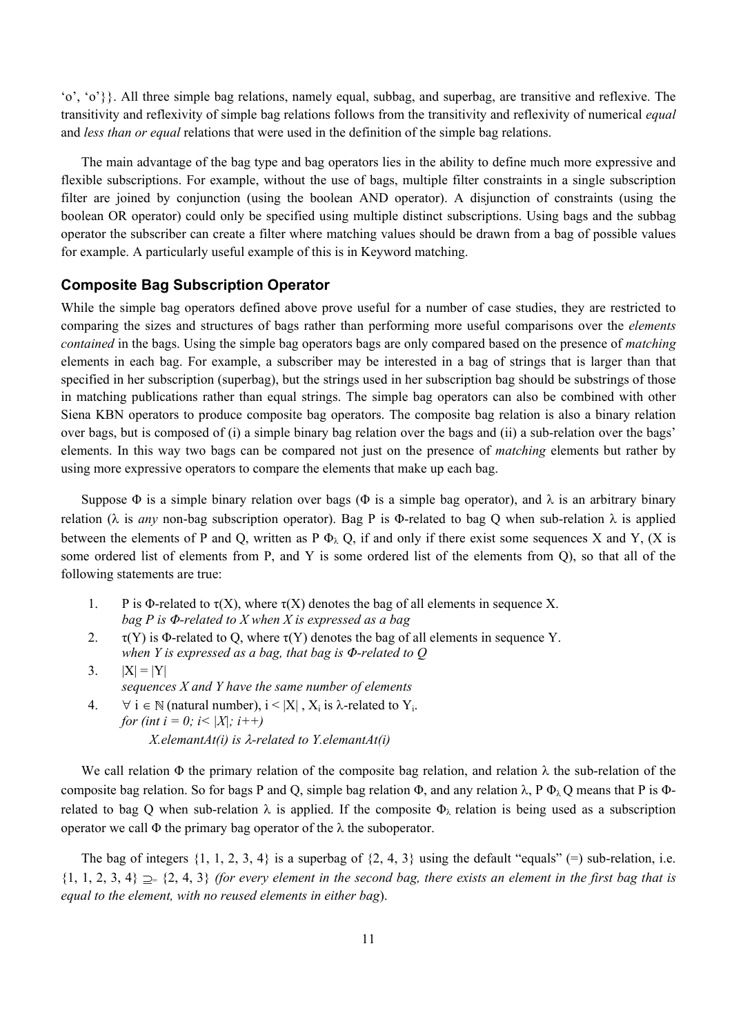'o', 'o'}}. All three simple bag relations, namely equal, subbag, and superbag, are transitive and reflexive. The transitivity and reflexivity of simple bag relations follows from the transitivity and reflexivity of numerical *equal* and *less than or equal* relations that were used in the definition of the simple bag relations.

The main advantage of the bag type and bag operators lies in the ability to define much more expressive and flexible subscriptions. For example, without the use of bags, multiple filter constraints in a single subscription filter are joined by conjunction (using the boolean AND operator). A disjunction of constraints (using the boolean OR operator) could only be specified using multiple distinct subscriptions. Using bags and the subbag operator the subscriber can create a filter where matching values should be drawn from a bag of possible values for example. A particularly useful example of this is in Keyword matching.

### **Composite Bag Subscription Operator**

While the simple bag operators defined above prove useful for a number of case studies, they are restricted to comparing the sizes and structures of bags rather than performing more useful comparisons over the *elements contained* in the bags. Using the simple bag operators bags are only compared based on the presence of *matching* elements in each bag. For example, a subscriber may be interested in a bag of strings that is larger than that specified in her subscription (superbag), but the strings used in her subscription bag should be substrings of those in matching publications rather than equal strings. The simple bag operators can also be combined with other Siena KBN operators to produce composite bag operators. The composite bag relation is also a binary relation over bags, but is composed of (i) a simple binary bag relation over the bags and (ii) a sub-relation over the bags' elements. In this way two bags can be compared not just on the presence of *matching* elements but rather by using more expressive operators to compare the elements that make up each bag.

Suppose  $\Phi$  is a simple binary relation over bags ( $\Phi$  is a simple bag operator), and  $\lambda$  is an arbitrary binary relation (λ is *any* non-bag subscription operator). Bag P is Φ-related to bag Q when sub-relation λ is applied between the elements of P and Q, written as P  $\Phi_{\lambda}$  Q, if and only if there exist some sequences X and Y, (X is some ordered list of elements from P, and Y is some ordered list of the elements from Q), so that all of the following statements are true:

- 1. P is Φ-related to  $τ(X)$ , where  $τ(X)$  denotes the bag of all elements in sequence X.  *bag P is Φ-related to X when X is expressed as a bag*
- 2.  $\tau(Y)$  is Φ-related to Q, where  $\tau(Y)$  denotes the bag of all elements in sequence Y.  *when Y is expressed as a bag, that bag is Φ-related to Q*
- 3.  $|X| = |Y|$  *sequences X and Y have the same number of elements*  4.  $\forall$  i  $\in \mathbb{N}$  (natural number), i < |X|, X<sub>i</sub> is  $\lambda$ -related to Y<sub>i</sub>.
- *for (int i = 0; i < |X|; i++) X.elemantAt(i) is* λ*-related to Y.elemantAt(i)*

We call relation  $\Phi$  the primary relation of the composite bag relation, and relation  $\lambda$  the sub-relation of the composite bag relation. So for bags P and Q, simple bag relation  $\Phi$ , and any relation  $\lambda$ , P  $\Phi_{\lambda}$ Q means that P is  $\Phi$ related to bag Q when sub-relation  $\lambda$  is applied. If the composite  $\Phi_{\lambda}$  relation is being used as a subscription operator we call  $\Phi$  the primary bag operator of the  $\lambda$  the suboperator.

The bag of integers  $\{1, 1, 2, 3, 4\}$  is a superbag of  $\{2, 4, 3\}$  using the default "equals" (=) sub-relation, i.e. {1, 1, 2, 3, 4} ⊇= {2, 4, 3} *(for every element in the second bag, there exists an element in the first bag that is equal to the element, with no reused elements in either bag*).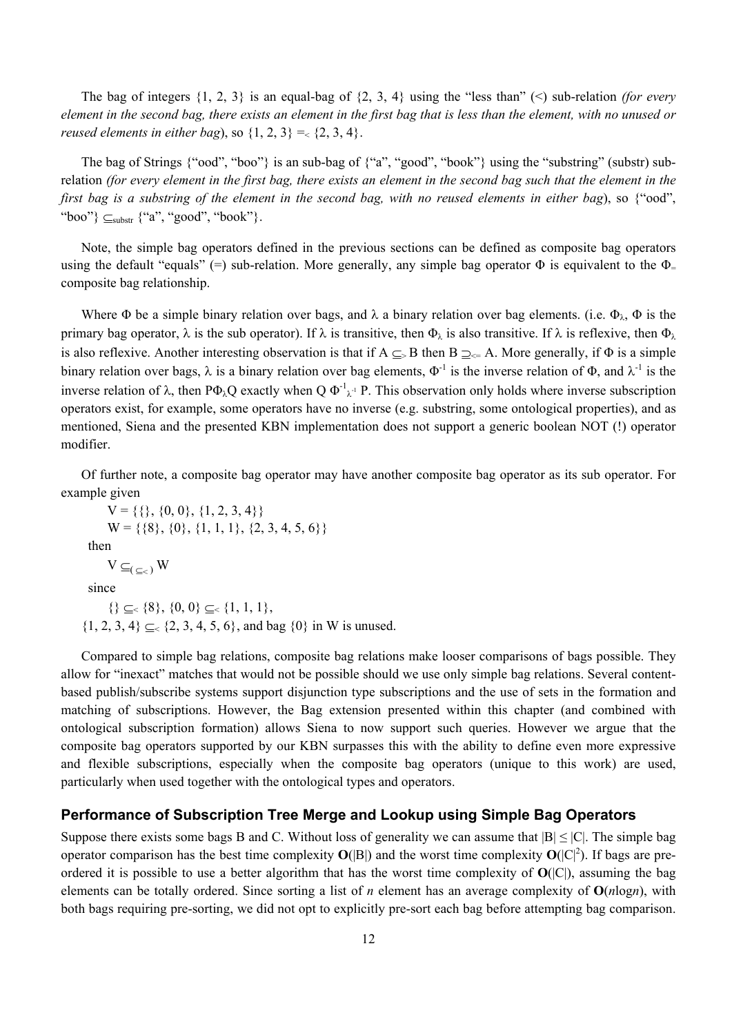The bag of integers {1, 2, 3} is an equal-bag of {2, 3, 4} using the "less than" (<) sub-relation *(for every element in the second bag, there exists an element in the first bag that is less than the element, with no unused or reused elements in either bag*), so  $\{1, 2, 3\} = \{2, 3, 4\}$ .

The bag of Strings {"ood", "boo"} is an sub-bag of {"a", "good", "book"} using the "substring" (substr) subrelation *(for every element in the first bag, there exists an element in the second bag such that the element in the first bag is a substring of the element in the second bag, with no reused elements in either bag*), so {"ood", "boo"}  $\subseteq$ substr {"a", "good", "book"}.

Note, the simple bag operators defined in the previous sections can be defined as composite bag operators using the default "equals" (=) sub-relation. More generally, any simple bag operator  $\Phi$  is equivalent to the  $\Phi$ composite bag relationship.

Where  $\Phi$  be a simple binary relation over bags, and  $\lambda$  a binary relation over bag elements. (i.e.  $\Phi_{\lambda}$ ,  $\Phi$  is the primary bag operator,  $\lambda$  is the sub operator). If  $\lambda$  is transitive, then  $\Phi_{\lambda}$  is also transitive. If  $\lambda$  is reflexive, then  $\Phi_{\lambda}$ is also reflexive. Another interesting observation is that if  $A \subseteq B$  then  $B \supseteq A$ . More generally, if  $\Phi$  is a simple binary relation over bags,  $\lambda$  is a binary relation over bag elements,  $\Phi^{-1}$  is the inverse relation of  $\Phi$ , and  $\lambda^{-1}$  is the inverse relation of  $\lambda$ , then P $\Phi_{\lambda}Q$  exactly when  $Q \Phi^{-1} \lambda^{-1}$  P. This observation only holds where inverse subscription operators exist, for example, some operators have no inverse (e.g. substring, some ontological properties), and as mentioned, Siena and the presented KBN implementation does not support a generic boolean NOT (!) operator modifier.

Of further note, a composite bag operator may have another composite bag operator as its sub operator. For example given

 $V = \{\{\}, \{0, 0\}, \{1, 2, 3, 4\}\}\$  $W = \{\{8\}, \{0\}, \{1, 1, 1\}, \{2, 3, 4, 5, 6\}\}\$  then  $V \subseteq_{(\subseteq_<)} W$  since  $\{ \} \subset_{\leq} \{ 8 \}, \{ 0, 0 \} \subset_{\leq} \{ 1, 1, 1 \},$ 

 $\{1, 2, 3, 4\} \subset \{2, 3, 4, 5, 6\}$ , and bag  $\{0\}$  in W is unused.

Compared to simple bag relations, composite bag relations make looser comparisons of bags possible. They allow for "inexact" matches that would not be possible should we use only simple bag relations. Several contentbased publish/subscribe systems support disjunction type subscriptions and the use of sets in the formation and matching of subscriptions. However, the Bag extension presented within this chapter (and combined with ontological subscription formation) allows Siena to now support such queries. However we argue that the composite bag operators supported by our KBN surpasses this with the ability to define even more expressive and flexible subscriptions, especially when the composite bag operators (unique to this work) are used, particularly when used together with the ontological types and operators.

### **Performance of Subscription Tree Merge and Lookup using Simple Bag Operators**

Suppose there exists some bags B and C. Without loss of generality we can assume that  $|B| \leq |C|$ . The simple bag operator comparison has the best time complexity  $O(|B|)$  and the worst time complexity  $O(|C|^2)$ . If bags are preordered it is possible to use a better algorithm that has the worst time complexity of  $O(|C|)$ , assuming the bag elements can be totally ordered. Since sorting a list of *n* element has an average complexity of **O**(*n*log*n*), with both bags requiring pre-sorting, we did not opt to explicitly pre-sort each bag before attempting bag comparison.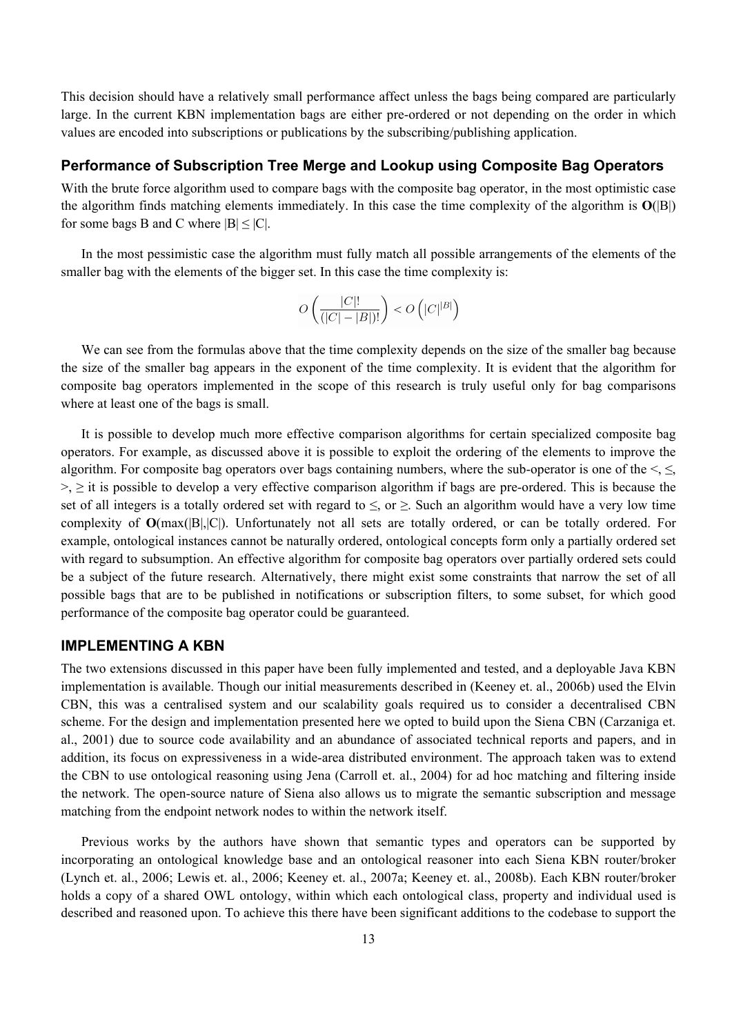This decision should have a relatively small performance affect unless the bags being compared are particularly large. In the current KBN implementation bags are either pre-ordered or not depending on the order in which values are encoded into subscriptions or publications by the subscribing/publishing application.

### **Performance of Subscription Tree Merge and Lookup using Composite Bag Operators**

With the brute force algorithm used to compare bags with the composite bag operator, in the most optimistic case the algorithm finds matching elements immediately. In this case the time complexity of the algorithm is  $O(|B|)$ for some bags B and C where  $|B| \leq |C|$ .

In the most pessimistic case the algorithm must fully match all possible arrangements of the elements of the smaller bag with the elements of the bigger set. In this case the time complexity is:

$$
O\left(\frac{|C|!}{(|C|-|B|)!}\right) < O\left(|C|^{|B|}\right)
$$

We can see from the formulas above that the time complexity depends on the size of the smaller bag because the size of the smaller bag appears in the exponent of the time complexity. It is evident that the algorithm for composite bag operators implemented in the scope of this research is truly useful only for bag comparisons where at least one of the bags is small.

It is possible to develop much more effective comparison algorithms for certain specialized composite bag operators. For example, as discussed above it is possible to exploit the ordering of the elements to improve the algorithm. For composite bag operators over bags containing numbers, where the sub-operator is one of the  $\leq$ ,  $\leq$ ,  $\geq$ ,  $\geq$  it is possible to develop a very effective comparison algorithm if bags are pre-ordered. This is because the set of all integers is a totally ordered set with regard to  $\leq$ , or  $\geq$ . Such an algorithm would have a very low time complexity of **O**(max(|B|,|C|). Unfortunately not all sets are totally ordered, or can be totally ordered. For example, ontological instances cannot be naturally ordered, ontological concepts form only a partially ordered set with regard to subsumption. An effective algorithm for composite bag operators over partially ordered sets could be a subject of the future research. Alternatively, there might exist some constraints that narrow the set of all possible bags that are to be published in notifications or subscription filters, to some subset, for which good performance of the composite bag operator could be guaranteed.

## **IMPLEMENTING A KBN**

The two extensions discussed in this paper have been fully implemented and tested, and a deployable Java KBN implementation is available. Though our initial measurements described in (Keeney et. al., 2006b) used the Elvin CBN, this was a centralised system and our scalability goals required us to consider a decentralised CBN scheme. For the design and implementation presented here we opted to build upon the Siena CBN (Carzaniga et. al., 2001) due to source code availability and an abundance of associated technical reports and papers, and in addition, its focus on expressiveness in a wide-area distributed environment. The approach taken was to extend the CBN to use ontological reasoning using Jena (Carroll et. al., 2004) for ad hoc matching and filtering inside the network. The open-source nature of Siena also allows us to migrate the semantic subscription and message matching from the endpoint network nodes to within the network itself.

Previous works by the authors have shown that semantic types and operators can be supported by incorporating an ontological knowledge base and an ontological reasoner into each Siena KBN router/broker (Lynch et. al., 2006; Lewis et. al., 2006; Keeney et. al., 2007a; Keeney et. al., 2008b). Each KBN router/broker holds a copy of a shared OWL ontology, within which each ontological class, property and individual used is described and reasoned upon. To achieve this there have been significant additions to the codebase to support the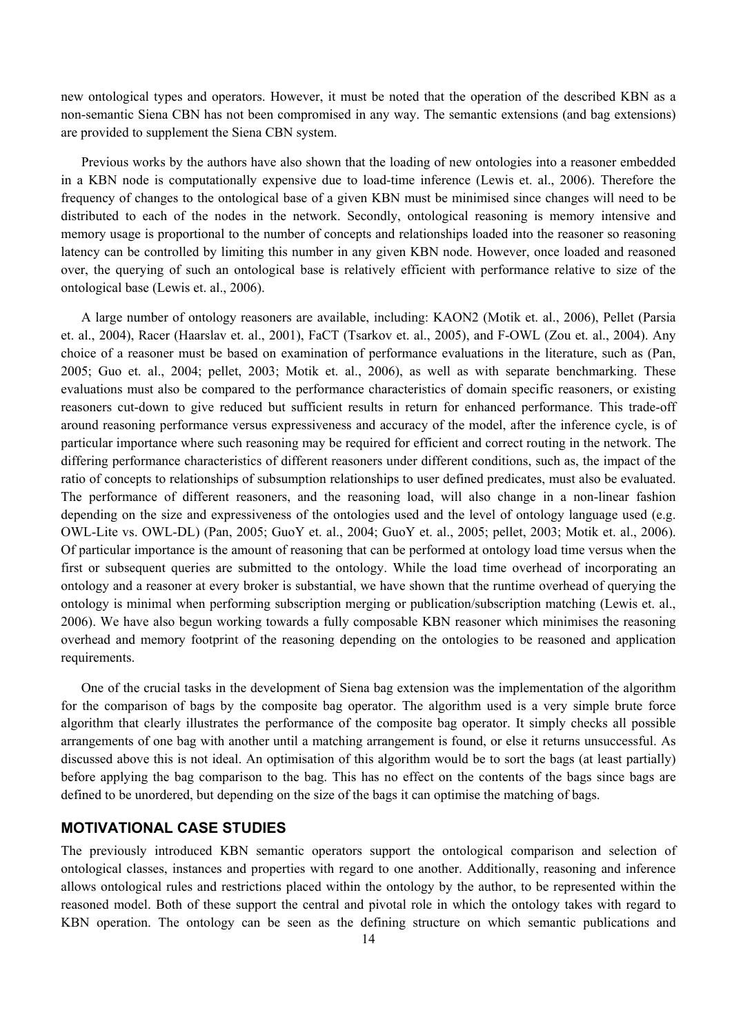new ontological types and operators. However, it must be noted that the operation of the described KBN as a non-semantic Siena CBN has not been compromised in any way. The semantic extensions (and bag extensions) are provided to supplement the Siena CBN system.

Previous works by the authors have also shown that the loading of new ontologies into a reasoner embedded in a KBN node is computationally expensive due to load-time inference (Lewis et. al., 2006). Therefore the frequency of changes to the ontological base of a given KBN must be minimised since changes will need to be distributed to each of the nodes in the network. Secondly, ontological reasoning is memory intensive and memory usage is proportional to the number of concepts and relationships loaded into the reasoner so reasoning latency can be controlled by limiting this number in any given KBN node. However, once loaded and reasoned over, the querying of such an ontological base is relatively efficient with performance relative to size of the ontological base (Lewis et. al., 2006).

A large number of ontology reasoners are available, including: KAON2 (Motik et. al., 2006), Pellet (Parsia et. al., 2004), Racer (Haarslav et. al., 2001), FaCT (Tsarkov et. al., 2005), and F-OWL (Zou et. al., 2004). Any choice of a reasoner must be based on examination of performance evaluations in the literature, such as (Pan, 2005; Guo et. al., 2004; pellet, 2003; Motik et. al., 2006), as well as with separate benchmarking. These evaluations must also be compared to the performance characteristics of domain specific reasoners, or existing reasoners cut-down to give reduced but sufficient results in return for enhanced performance. This trade-off around reasoning performance versus expressiveness and accuracy of the model, after the inference cycle, is of particular importance where such reasoning may be required for efficient and correct routing in the network. The differing performance characteristics of different reasoners under different conditions, such as, the impact of the ratio of concepts to relationships of subsumption relationships to user defined predicates, must also be evaluated. The performance of different reasoners, and the reasoning load, will also change in a non-linear fashion depending on the size and expressiveness of the ontologies used and the level of ontology language used (e.g. OWL-Lite vs. OWL-DL) (Pan, 2005; GuoY et. al., 2004; GuoY et. al., 2005; pellet, 2003; Motik et. al., 2006). Of particular importance is the amount of reasoning that can be performed at ontology load time versus when the first or subsequent queries are submitted to the ontology. While the load time overhead of incorporating an ontology and a reasoner at every broker is substantial, we have shown that the runtime overhead of querying the ontology is minimal when performing subscription merging or publication/subscription matching (Lewis et. al., 2006). We have also begun working towards a fully composable KBN reasoner which minimises the reasoning overhead and memory footprint of the reasoning depending on the ontologies to be reasoned and application requirements.

One of the crucial tasks in the development of Siena bag extension was the implementation of the algorithm for the comparison of bags by the composite bag operator. The algorithm used is a very simple brute force algorithm that clearly illustrates the performance of the composite bag operator. It simply checks all possible arrangements of one bag with another until a matching arrangement is found, or else it returns unsuccessful. As discussed above this is not ideal. An optimisation of this algorithm would be to sort the bags (at least partially) before applying the bag comparison to the bag. This has no effect on the contents of the bags since bags are defined to be unordered, but depending on the size of the bags it can optimise the matching of bags.

### **MOTIVATIONAL CASE STUDIES**

The previously introduced KBN semantic operators support the ontological comparison and selection of ontological classes, instances and properties with regard to one another. Additionally, reasoning and inference allows ontological rules and restrictions placed within the ontology by the author, to be represented within the reasoned model. Both of these support the central and pivotal role in which the ontology takes with regard to KBN operation. The ontology can be seen as the defining structure on which semantic publications and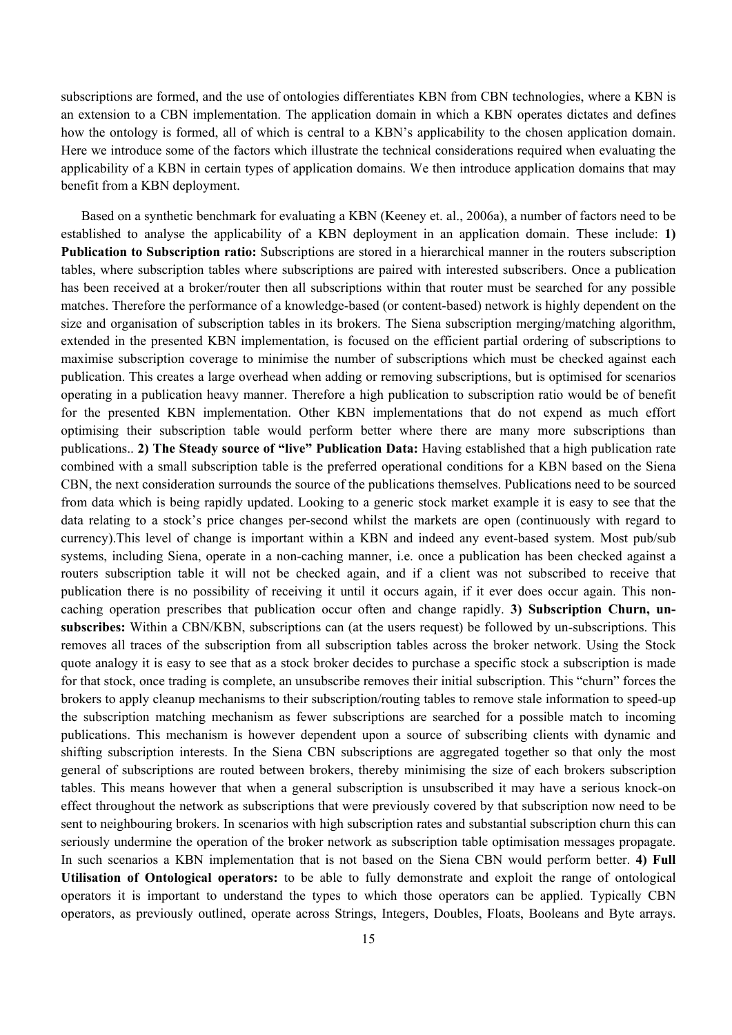subscriptions are formed, and the use of ontologies differentiates KBN from CBN technologies, where a KBN is an extension to a CBN implementation. The application domain in which a KBN operates dictates and defines how the ontology is formed, all of which is central to a KBN's applicability to the chosen application domain. Here we introduce some of the factors which illustrate the technical considerations required when evaluating the applicability of a KBN in certain types of application domains. We then introduce application domains that may benefit from a KBN deployment.

Based on a synthetic benchmark for evaluating a KBN (Keeney et. al., 2006a), a number of factors need to be established to analyse the applicability of a KBN deployment in an application domain. These include: **1) Publication to Subscription ratio:** Subscriptions are stored in a hierarchical manner in the routers subscription tables, where subscription tables where subscriptions are paired with interested subscribers. Once a publication has been received at a broker/router then all subscriptions within that router must be searched for any possible matches. Therefore the performance of a knowledge-based (or content-based) network is highly dependent on the size and organisation of subscription tables in its brokers. The Siena subscription merging/matching algorithm, extended in the presented KBN implementation, is focused on the efficient partial ordering of subscriptions to maximise subscription coverage to minimise the number of subscriptions which must be checked against each publication. This creates a large overhead when adding or removing subscriptions, but is optimised for scenarios operating in a publication heavy manner. Therefore a high publication to subscription ratio would be of benefit for the presented KBN implementation. Other KBN implementations that do not expend as much effort optimising their subscription table would perform better where there are many more subscriptions than publications.. **2) The Steady source of "live" Publication Data:** Having established that a high publication rate combined with a small subscription table is the preferred operational conditions for a KBN based on the Siena CBN, the next consideration surrounds the source of the publications themselves. Publications need to be sourced from data which is being rapidly updated. Looking to a generic stock market example it is easy to see that the data relating to a stock's price changes per-second whilst the markets are open (continuously with regard to currency).This level of change is important within a KBN and indeed any event-based system. Most pub/sub systems, including Siena, operate in a non-caching manner, i.e. once a publication has been checked against a routers subscription table it will not be checked again, and if a client was not subscribed to receive that publication there is no possibility of receiving it until it occurs again, if it ever does occur again. This noncaching operation prescribes that publication occur often and change rapidly. **3) Subscription Churn, unsubscribes:** Within a CBN/KBN, subscriptions can (at the users request) be followed by un-subscriptions. This removes all traces of the subscription from all subscription tables across the broker network. Using the Stock quote analogy it is easy to see that as a stock broker decides to purchase a specific stock a subscription is made for that stock, once trading is complete, an unsubscribe removes their initial subscription. This "churn" forces the brokers to apply cleanup mechanisms to their subscription/routing tables to remove stale information to speed-up the subscription matching mechanism as fewer subscriptions are searched for a possible match to incoming publications. This mechanism is however dependent upon a source of subscribing clients with dynamic and shifting subscription interests. In the Siena CBN subscriptions are aggregated together so that only the most general of subscriptions are routed between brokers, thereby minimising the size of each brokers subscription tables. This means however that when a general subscription is unsubscribed it may have a serious knock-on effect throughout the network as subscriptions that were previously covered by that subscription now need to be sent to neighbouring brokers. In scenarios with high subscription rates and substantial subscription churn this can seriously undermine the operation of the broker network as subscription table optimisation messages propagate. In such scenarios a KBN implementation that is not based on the Siena CBN would perform better. **4) Full Utilisation of Ontological operators:** to be able to fully demonstrate and exploit the range of ontological operators it is important to understand the types to which those operators can be applied. Typically CBN operators, as previously outlined, operate across Strings, Integers, Doubles, Floats, Booleans and Byte arrays.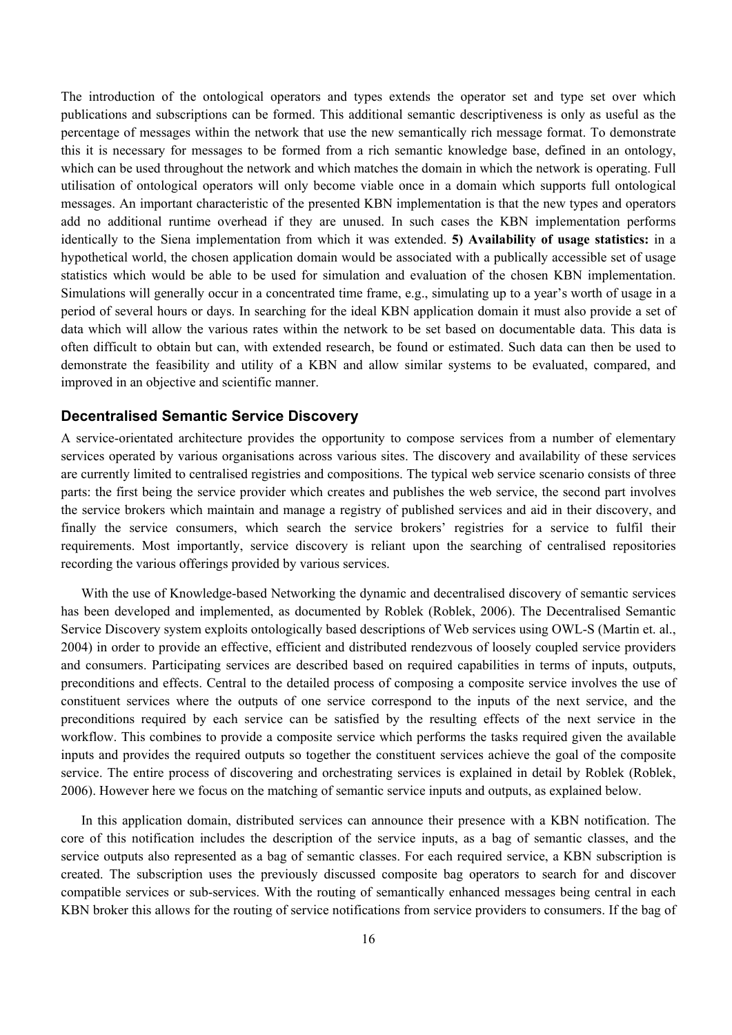The introduction of the ontological operators and types extends the operator set and type set over which publications and subscriptions can be formed. This additional semantic descriptiveness is only as useful as the percentage of messages within the network that use the new semantically rich message format. To demonstrate this it is necessary for messages to be formed from a rich semantic knowledge base, defined in an ontology, which can be used throughout the network and which matches the domain in which the network is operating. Full utilisation of ontological operators will only become viable once in a domain which supports full ontological messages. An important characteristic of the presented KBN implementation is that the new types and operators add no additional runtime overhead if they are unused. In such cases the KBN implementation performs identically to the Siena implementation from which it was extended. **5) Availability of usage statistics:** in a hypothetical world, the chosen application domain would be associated with a publically accessible set of usage statistics which would be able to be used for simulation and evaluation of the chosen KBN implementation. Simulations will generally occur in a concentrated time frame, e.g., simulating up to a year's worth of usage in a period of several hours or days. In searching for the ideal KBN application domain it must also provide a set of data which will allow the various rates within the network to be set based on documentable data. This data is often difficult to obtain but can, with extended research, be found or estimated. Such data can then be used to demonstrate the feasibility and utility of a KBN and allow similar systems to be evaluated, compared, and improved in an objective and scientific manner.

### **Decentralised Semantic Service Discovery**

A service-orientated architecture provides the opportunity to compose services from a number of elementary services operated by various organisations across various sites. The discovery and availability of these services are currently limited to centralised registries and compositions. The typical web service scenario consists of three parts: the first being the service provider which creates and publishes the web service, the second part involves the service brokers which maintain and manage a registry of published services and aid in their discovery, and finally the service consumers, which search the service brokers' registries for a service to fulfil their requirements. Most importantly, service discovery is reliant upon the searching of centralised repositories recording the various offerings provided by various services.

With the use of Knowledge-based Networking the dynamic and decentralised discovery of semantic services has been developed and implemented, as documented by Roblek (Roblek, 2006). The Decentralised Semantic Service Discovery system exploits ontologically based descriptions of Web services using OWL-S (Martin et. al., 2004) in order to provide an effective, efficient and distributed rendezvous of loosely coupled service providers and consumers. Participating services are described based on required capabilities in terms of inputs, outputs, preconditions and effects. Central to the detailed process of composing a composite service involves the use of constituent services where the outputs of one service correspond to the inputs of the next service, and the preconditions required by each service can be satisfied by the resulting effects of the next service in the workflow. This combines to provide a composite service which performs the tasks required given the available inputs and provides the required outputs so together the constituent services achieve the goal of the composite service. The entire process of discovering and orchestrating services is explained in detail by Roblek (Roblek, 2006). However here we focus on the matching of semantic service inputs and outputs, as explained below.

In this application domain, distributed services can announce their presence with a KBN notification. The core of this notification includes the description of the service inputs, as a bag of semantic classes, and the service outputs also represented as a bag of semantic classes. For each required service, a KBN subscription is created. The subscription uses the previously discussed composite bag operators to search for and discover compatible services or sub-services. With the routing of semantically enhanced messages being central in each KBN broker this allows for the routing of service notifications from service providers to consumers. If the bag of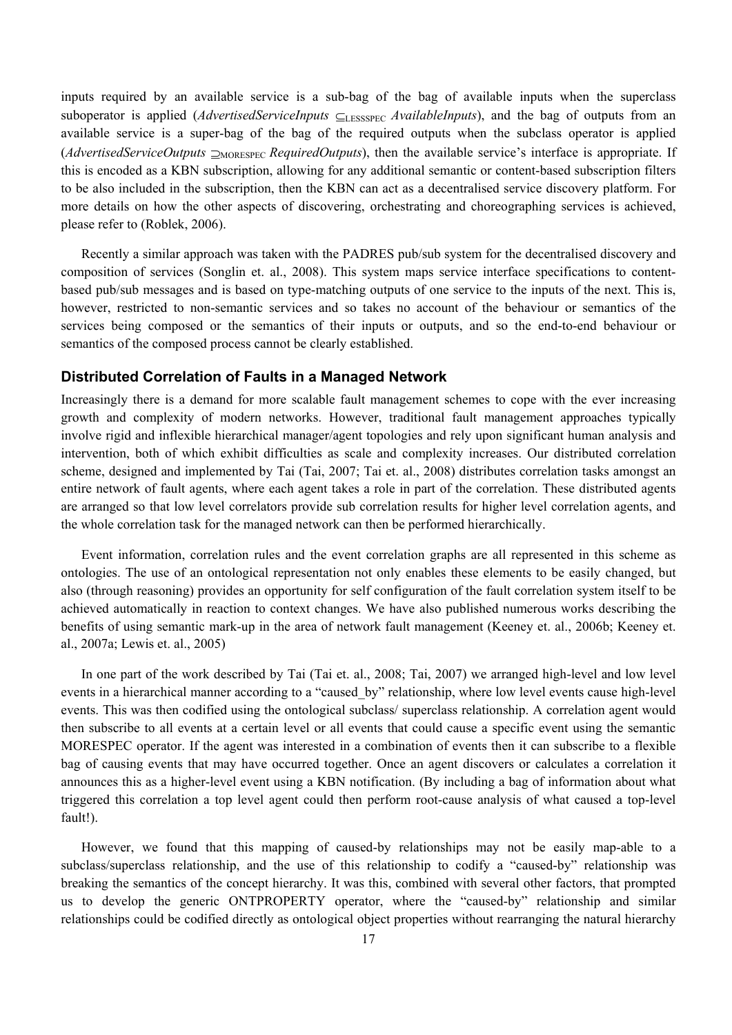inputs required by an available service is a sub-bag of the bag of available inputs when the superclass suboperator is applied (*AdvertisedServiceInputs* ⊆LESSSPEC *AvailableInputs*), and the bag of outputs from an available service is a super-bag of the bag of the required outputs when the subclass operator is applied (*AdvertisedServiceOutputs* ⊇<sub>MORESPEC</sub> *RequiredOutputs*), then the available service's interface is appropriate. If this is encoded as a KBN subscription, allowing for any additional semantic or content-based subscription filters to be also included in the subscription, then the KBN can act as a decentralised service discovery platform. For more details on how the other aspects of discovering, orchestrating and choreographing services is achieved, please refer to (Roblek, 2006).

Recently a similar approach was taken with the PADRES pub/sub system for the decentralised discovery and composition of services (Songlin et. al., 2008). This system maps service interface specifications to contentbased pub/sub messages and is based on type-matching outputs of one service to the inputs of the next. This is, however, restricted to non-semantic services and so takes no account of the behaviour or semantics of the services being composed or the semantics of their inputs or outputs, and so the end-to-end behaviour or semantics of the composed process cannot be clearly established.

### **Distributed Correlation of Faults in a Managed Network**

Increasingly there is a demand for more scalable fault management schemes to cope with the ever increasing growth and complexity of modern networks. However, traditional fault management approaches typically involve rigid and inflexible hierarchical manager/agent topologies and rely upon significant human analysis and intervention, both of which exhibit difficulties as scale and complexity increases. Our distributed correlation scheme, designed and implemented by Tai (Tai, 2007; Tai et. al., 2008) distributes correlation tasks amongst an entire network of fault agents, where each agent takes a role in part of the correlation. These distributed agents are arranged so that low level correlators provide sub correlation results for higher level correlation agents, and the whole correlation task for the managed network can then be performed hierarchically.

Event information, correlation rules and the event correlation graphs are all represented in this scheme as ontologies. The use of an ontological representation not only enables these elements to be easily changed, but also (through reasoning) provides an opportunity for self configuration of the fault correlation system itself to be achieved automatically in reaction to context changes. We have also published numerous works describing the benefits of using semantic mark-up in the area of network fault management (Keeney et. al., 2006b; Keeney et. al., 2007a; Lewis et. al., 2005)

In one part of the work described by Tai (Tai et. al., 2008; Tai, 2007) we arranged high-level and low level events in a hierarchical manner according to a "caused by" relationship, where low level events cause high-level events. This was then codified using the ontological subclass/ superclass relationship. A correlation agent would then subscribe to all events at a certain level or all events that could cause a specific event using the semantic MORESPEC operator. If the agent was interested in a combination of events then it can subscribe to a flexible bag of causing events that may have occurred together. Once an agent discovers or calculates a correlation it announces this as a higher-level event using a KBN notification. (By including a bag of information about what triggered this correlation a top level agent could then perform root-cause analysis of what caused a top-level fault!).

However, we found that this mapping of caused-by relationships may not be easily map-able to a subclass/superclass relationship, and the use of this relationship to codify a "caused-by" relationship was breaking the semantics of the concept hierarchy. It was this, combined with several other factors, that prompted us to develop the generic ONTPROPERTY operator, where the "caused-by" relationship and similar relationships could be codified directly as ontological object properties without rearranging the natural hierarchy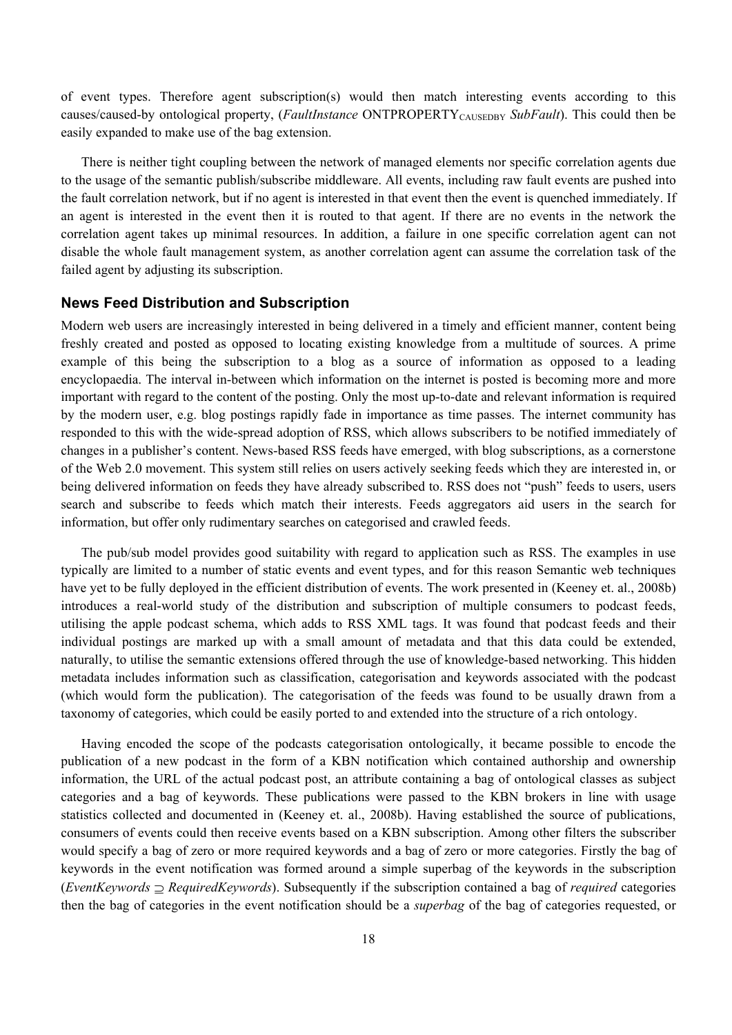of event types. Therefore agent subscription(s) would then match interesting events according to this causes/caused-by ontological property, (*FaultInstance* ONTPROPERTY<sub>CAUSEDBY</sub> SubFault). This could then be easily expanded to make use of the bag extension.

There is neither tight coupling between the network of managed elements nor specific correlation agents due to the usage of the semantic publish/subscribe middleware. All events, including raw fault events are pushed into the fault correlation network, but if no agent is interested in that event then the event is quenched immediately. If an agent is interested in the event then it is routed to that agent. If there are no events in the network the correlation agent takes up minimal resources. In addition, a failure in one specific correlation agent can not disable the whole fault management system, as another correlation agent can assume the correlation task of the failed agent by adjusting its subscription.

### **News Feed Distribution and Subscription**

Modern web users are increasingly interested in being delivered in a timely and efficient manner, content being freshly created and posted as opposed to locating existing knowledge from a multitude of sources. A prime example of this being the subscription to a blog as a source of information as opposed to a leading encyclopaedia. The interval in-between which information on the internet is posted is becoming more and more important with regard to the content of the posting. Only the most up-to-date and relevant information is required by the modern user, e.g. blog postings rapidly fade in importance as time passes. The internet community has responded to this with the wide-spread adoption of RSS, which allows subscribers to be notified immediately of changes in a publisher's content. News-based RSS feeds have emerged, with blog subscriptions, as a cornerstone of the Web 2.0 movement. This system still relies on users actively seeking feeds which they are interested in, or being delivered information on feeds they have already subscribed to. RSS does not "push" feeds to users, users search and subscribe to feeds which match their interests. Feeds aggregators aid users in the search for information, but offer only rudimentary searches on categorised and crawled feeds.

The pub/sub model provides good suitability with regard to application such as RSS. The examples in use typically are limited to a number of static events and event types, and for this reason Semantic web techniques have yet to be fully deployed in the efficient distribution of events. The work presented in (Keeney et. al., 2008b) introduces a real-world study of the distribution and subscription of multiple consumers to podcast feeds, utilising the apple podcast schema, which adds to RSS XML tags. It was found that podcast feeds and their individual postings are marked up with a small amount of metadata and that this data could be extended, naturally, to utilise the semantic extensions offered through the use of knowledge-based networking. This hidden metadata includes information such as classification, categorisation and keywords associated with the podcast (which would form the publication). The categorisation of the feeds was found to be usually drawn from a taxonomy of categories, which could be easily ported to and extended into the structure of a rich ontology.

Having encoded the scope of the podcasts categorisation ontologically, it became possible to encode the publication of a new podcast in the form of a KBN notification which contained authorship and ownership information, the URL of the actual podcast post, an attribute containing a bag of ontological classes as subject categories and a bag of keywords. These publications were passed to the KBN brokers in line with usage statistics collected and documented in (Keeney et. al., 2008b). Having established the source of publications, consumers of events could then receive events based on a KBN subscription. Among other filters the subscriber would specify a bag of zero or more required keywords and a bag of zero or more categories. Firstly the bag of keywords in the event notification was formed around a simple superbag of the keywords in the subscription (*EventKeywords* ⊇ *RequiredKeywords*). Subsequently if the subscription contained a bag of *required* categories then the bag of categories in the event notification should be a *superbag* of the bag of categories requested, or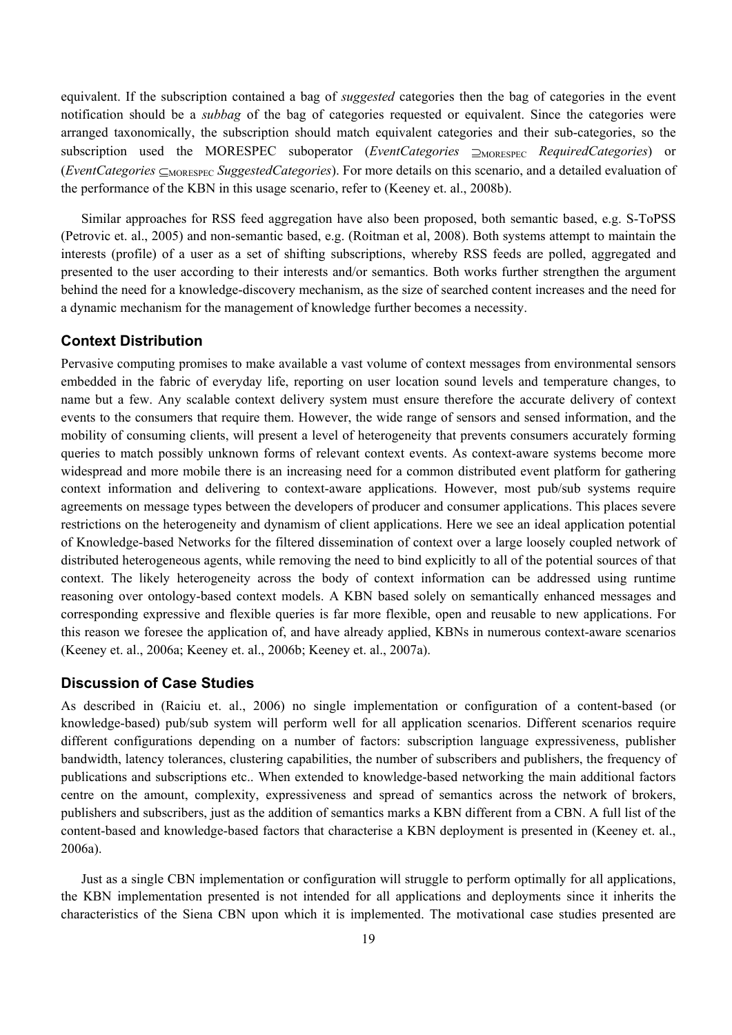equivalent. If the subscription contained a bag of *suggested* categories then the bag of categories in the event notification should be a *subbag* of the bag of categories requested or equivalent. Since the categories were arranged taxonomically, the subscription should match equivalent categories and their sub-categories, so the subscription used the MORESPEC suboperator (*EventCategories* ⊇<sub>MORESPEC</sub> RequiredCategories) or (*EventCategories* ⊆MORESPEC *SuggestedCategories*). For more details on this scenario, and a detailed evaluation of the performance of the KBN in this usage scenario, refer to (Keeney et. al., 2008b).

Similar approaches for RSS feed aggregation have also been proposed, both semantic based, e.g. S-ToPSS (Petrovic et. al., 2005) and non-semantic based, e.g. (Roitman et al, 2008). Both systems attempt to maintain the interests (profile) of a user as a set of shifting subscriptions, whereby RSS feeds are polled, aggregated and presented to the user according to their interests and/or semantics. Both works further strengthen the argument behind the need for a knowledge-discovery mechanism, as the size of searched content increases and the need for a dynamic mechanism for the management of knowledge further becomes a necessity.

### **Context Distribution**

Pervasive computing promises to make available a vast volume of context messages from environmental sensors embedded in the fabric of everyday life, reporting on user location sound levels and temperature changes, to name but a few. Any scalable context delivery system must ensure therefore the accurate delivery of context events to the consumers that require them. However, the wide range of sensors and sensed information, and the mobility of consuming clients, will present a level of heterogeneity that prevents consumers accurately forming queries to match possibly unknown forms of relevant context events. As context-aware systems become more widespread and more mobile there is an increasing need for a common distributed event platform for gathering context information and delivering to context-aware applications. However, most pub/sub systems require agreements on message types between the developers of producer and consumer applications. This places severe restrictions on the heterogeneity and dynamism of client applications. Here we see an ideal application potential of Knowledge-based Networks for the filtered dissemination of context over a large loosely coupled network of distributed heterogeneous agents, while removing the need to bind explicitly to all of the potential sources of that context. The likely heterogeneity across the body of context information can be addressed using runtime reasoning over ontology-based context models. A KBN based solely on semantically enhanced messages and corresponding expressive and flexible queries is far more flexible, open and reusable to new applications. For this reason we foresee the application of, and have already applied, KBNs in numerous context-aware scenarios (Keeney et. al., 2006a; Keeney et. al., 2006b; Keeney et. al., 2007a).

### **Discussion of Case Studies**

As described in (Raiciu et. al., 2006) no single implementation or configuration of a content-based (or knowledge-based) pub/sub system will perform well for all application scenarios. Different scenarios require different configurations depending on a number of factors: subscription language expressiveness, publisher bandwidth, latency tolerances, clustering capabilities, the number of subscribers and publishers, the frequency of publications and subscriptions etc.. When extended to knowledge-based networking the main additional factors centre on the amount, complexity, expressiveness and spread of semantics across the network of brokers, publishers and subscribers, just as the addition of semantics marks a KBN different from a CBN. A full list of the content-based and knowledge-based factors that characterise a KBN deployment is presented in (Keeney et. al., 2006a).

Just as a single CBN implementation or configuration will struggle to perform optimally for all applications, the KBN implementation presented is not intended for all applications and deployments since it inherits the characteristics of the Siena CBN upon which it is implemented. The motivational case studies presented are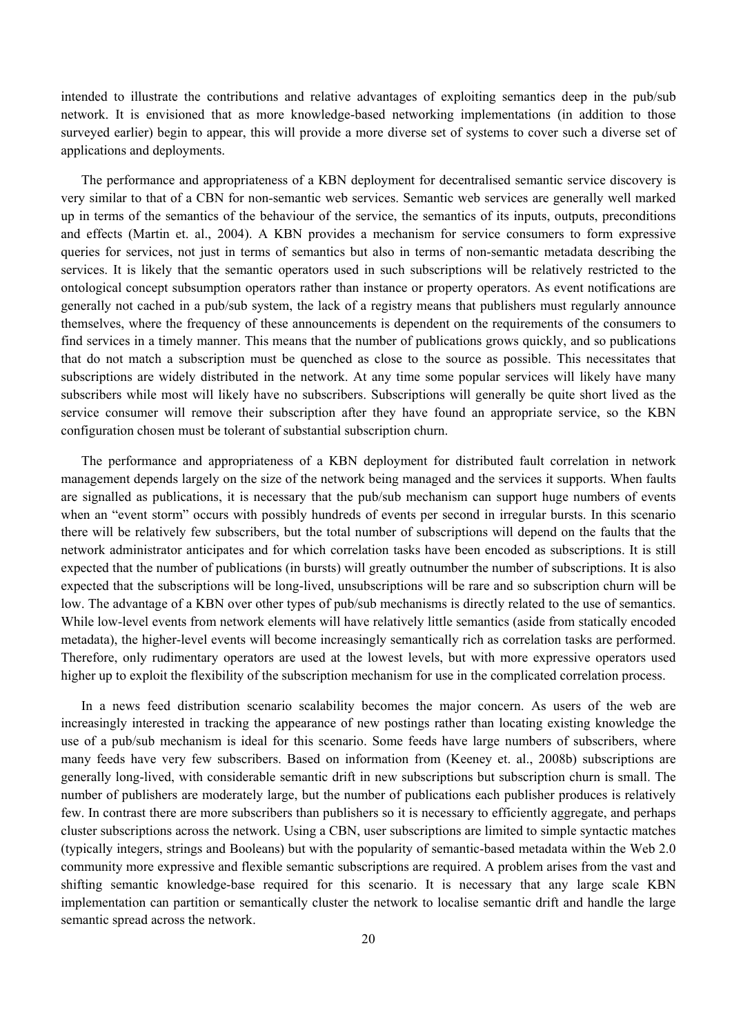intended to illustrate the contributions and relative advantages of exploiting semantics deep in the pub/sub network. It is envisioned that as more knowledge-based networking implementations (in addition to those surveyed earlier) begin to appear, this will provide a more diverse set of systems to cover such a diverse set of applications and deployments.

The performance and appropriateness of a KBN deployment for decentralised semantic service discovery is very similar to that of a CBN for non-semantic web services. Semantic web services are generally well marked up in terms of the semantics of the behaviour of the service, the semantics of its inputs, outputs, preconditions and effects (Martin et. al., 2004). A KBN provides a mechanism for service consumers to form expressive queries for services, not just in terms of semantics but also in terms of non-semantic metadata describing the services. It is likely that the semantic operators used in such subscriptions will be relatively restricted to the ontological concept subsumption operators rather than instance or property operators. As event notifications are generally not cached in a pub/sub system, the lack of a registry means that publishers must regularly announce themselves, where the frequency of these announcements is dependent on the requirements of the consumers to find services in a timely manner. This means that the number of publications grows quickly, and so publications that do not match a subscription must be quenched as close to the source as possible. This necessitates that subscriptions are widely distributed in the network. At any time some popular services will likely have many subscribers while most will likely have no subscribers. Subscriptions will generally be quite short lived as the service consumer will remove their subscription after they have found an appropriate service, so the KBN configuration chosen must be tolerant of substantial subscription churn.

The performance and appropriateness of a KBN deployment for distributed fault correlation in network management depends largely on the size of the network being managed and the services it supports. When faults are signalled as publications, it is necessary that the pub/sub mechanism can support huge numbers of events when an "event storm" occurs with possibly hundreds of events per second in irregular bursts. In this scenario there will be relatively few subscribers, but the total number of subscriptions will depend on the faults that the network administrator anticipates and for which correlation tasks have been encoded as subscriptions. It is still expected that the number of publications (in bursts) will greatly outnumber the number of subscriptions. It is also expected that the subscriptions will be long-lived, unsubscriptions will be rare and so subscription churn will be low. The advantage of a KBN over other types of pub/sub mechanisms is directly related to the use of semantics. While low-level events from network elements will have relatively little semantics (aside from statically encoded metadata), the higher-level events will become increasingly semantically rich as correlation tasks are performed. Therefore, only rudimentary operators are used at the lowest levels, but with more expressive operators used higher up to exploit the flexibility of the subscription mechanism for use in the complicated correlation process.

In a news feed distribution scenario scalability becomes the major concern. As users of the web are increasingly interested in tracking the appearance of new postings rather than locating existing knowledge the use of a pub/sub mechanism is ideal for this scenario. Some feeds have large numbers of subscribers, where many feeds have very few subscribers. Based on information from (Keeney et. al., 2008b) subscriptions are generally long-lived, with considerable semantic drift in new subscriptions but subscription churn is small. The number of publishers are moderately large, but the number of publications each publisher produces is relatively few. In contrast there are more subscribers than publishers so it is necessary to efficiently aggregate, and perhaps cluster subscriptions across the network. Using a CBN, user subscriptions are limited to simple syntactic matches (typically integers, strings and Booleans) but with the popularity of semantic-based metadata within the Web 2.0 community more expressive and flexible semantic subscriptions are required. A problem arises from the vast and shifting semantic knowledge-base required for this scenario. It is necessary that any large scale KBN implementation can partition or semantically cluster the network to localise semantic drift and handle the large semantic spread across the network.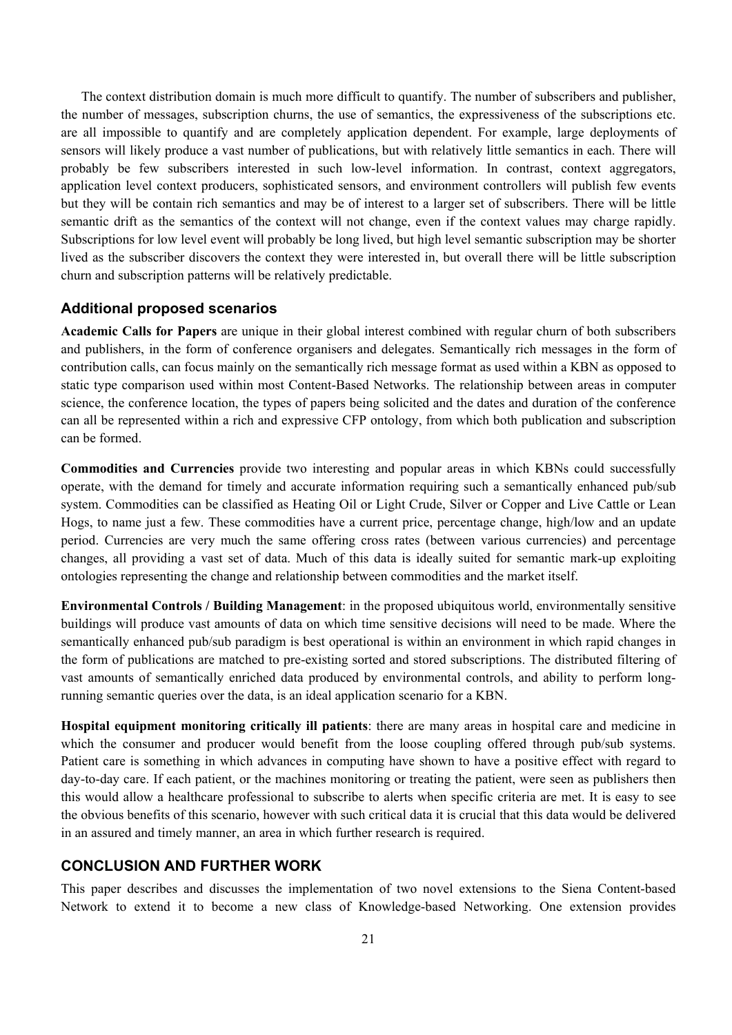The context distribution domain is much more difficult to quantify. The number of subscribers and publisher, the number of messages, subscription churns, the use of semantics, the expressiveness of the subscriptions etc. are all impossible to quantify and are completely application dependent. For example, large deployments of sensors will likely produce a vast number of publications, but with relatively little semantics in each. There will probably be few subscribers interested in such low-level information. In contrast, context aggregators, application level context producers, sophisticated sensors, and environment controllers will publish few events but they will be contain rich semantics and may be of interest to a larger set of subscribers. There will be little semantic drift as the semantics of the context will not change, even if the context values may charge rapidly. Subscriptions for low level event will probably be long lived, but high level semantic subscription may be shorter lived as the subscriber discovers the context they were interested in, but overall there will be little subscription churn and subscription patterns will be relatively predictable.

### **Additional proposed scenarios**

**Academic Calls for Papers** are unique in their global interest combined with regular churn of both subscribers and publishers, in the form of conference organisers and delegates. Semantically rich messages in the form of contribution calls, can focus mainly on the semantically rich message format as used within a KBN as opposed to static type comparison used within most Content-Based Networks. The relationship between areas in computer science, the conference location, the types of papers being solicited and the dates and duration of the conference can all be represented within a rich and expressive CFP ontology, from which both publication and subscription can be formed.

**Commodities and Currencies** provide two interesting and popular areas in which KBNs could successfully operate, with the demand for timely and accurate information requiring such a semantically enhanced pub/sub system. Commodities can be classified as Heating Oil or Light Crude, Silver or Copper and Live Cattle or Lean Hogs, to name just a few. These commodities have a current price, percentage change, high/low and an update period. Currencies are very much the same offering cross rates (between various currencies) and percentage changes, all providing a vast set of data. Much of this data is ideally suited for semantic mark-up exploiting ontologies representing the change and relationship between commodities and the market itself.

**Environmental Controls / Building Management**: in the proposed ubiquitous world, environmentally sensitive buildings will produce vast amounts of data on which time sensitive decisions will need to be made. Where the semantically enhanced pub/sub paradigm is best operational is within an environment in which rapid changes in the form of publications are matched to pre-existing sorted and stored subscriptions. The distributed filtering of vast amounts of semantically enriched data produced by environmental controls, and ability to perform longrunning semantic queries over the data, is an ideal application scenario for a KBN.

**Hospital equipment monitoring critically ill patients**: there are many areas in hospital care and medicine in which the consumer and producer would benefit from the loose coupling offered through pub/sub systems. Patient care is something in which advances in computing have shown to have a positive effect with regard to day-to-day care. If each patient, or the machines monitoring or treating the patient, were seen as publishers then this would allow a healthcare professional to subscribe to alerts when specific criteria are met. It is easy to see the obvious benefits of this scenario, however with such critical data it is crucial that this data would be delivered in an assured and timely manner, an area in which further research is required.

### **CONCLUSION AND FURTHER WORK**

This paper describes and discusses the implementation of two novel extensions to the Siena Content-based Network to extend it to become a new class of Knowledge-based Networking. One extension provides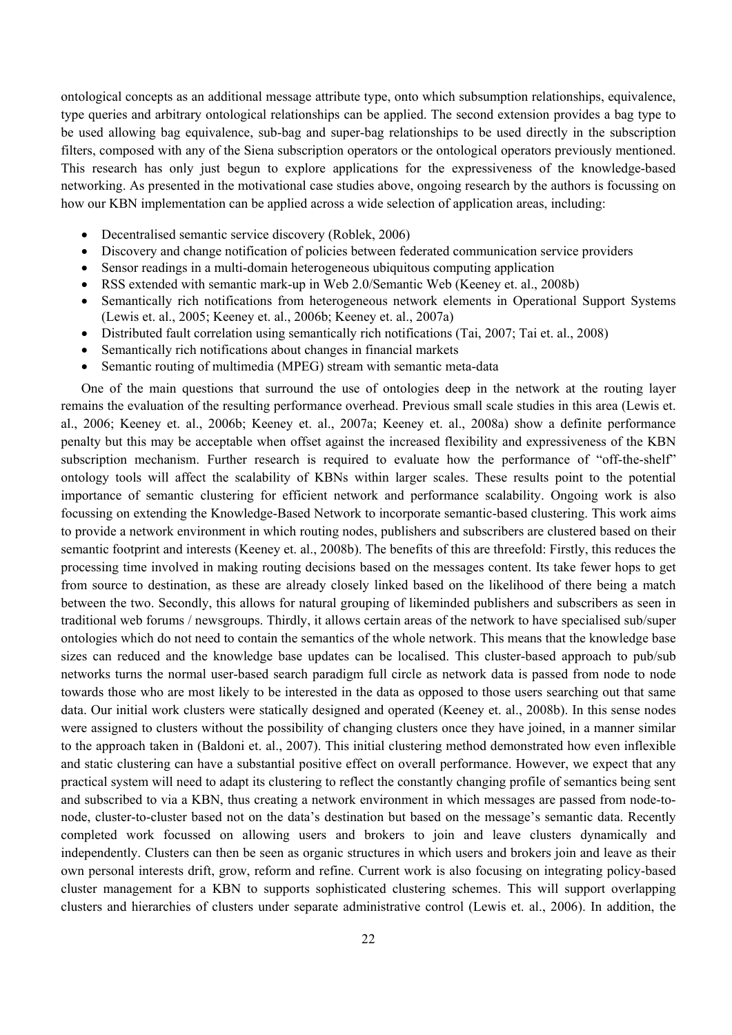ontological concepts as an additional message attribute type, onto which subsumption relationships, equivalence, type queries and arbitrary ontological relationships can be applied. The second extension provides a bag type to be used allowing bag equivalence, sub-bag and super-bag relationships to be used directly in the subscription filters, composed with any of the Siena subscription operators or the ontological operators previously mentioned. This research has only just begun to explore applications for the expressiveness of the knowledge-based networking. As presented in the motivational case studies above, ongoing research by the authors is focussing on how our KBN implementation can be applied across a wide selection of application areas, including:

- Decentralised semantic service discovery (Roblek, 2006)
- Discovery and change notification of policies between federated communication service providers
- Sensor readings in a multi-domain heterogeneous ubiquitous computing application
- RSS extended with semantic mark-up in Web 2.0/Semantic Web (Keeney et. al., 2008b)
- Semantically rich notifications from heterogeneous network elements in Operational Support Systems (Lewis et. al., 2005; Keeney et. al., 2006b; Keeney et. al., 2007a)
- Distributed fault correlation using semantically rich notifications (Tai, 2007; Tai et. al., 2008)
- Semantically rich notifications about changes in financial markets
- Semantic routing of multimedia (MPEG) stream with semantic meta-data

One of the main questions that surround the use of ontologies deep in the network at the routing layer remains the evaluation of the resulting performance overhead. Previous small scale studies in this area (Lewis et. al., 2006; Keeney et. al., 2006b; Keeney et. al., 2007a; Keeney et. al., 2008a) show a definite performance penalty but this may be acceptable when offset against the increased flexibility and expressiveness of the KBN subscription mechanism. Further research is required to evaluate how the performance of "off-the-shelf" ontology tools will affect the scalability of KBNs within larger scales. These results point to the potential importance of semantic clustering for efficient network and performance scalability. Ongoing work is also focussing on extending the Knowledge-Based Network to incorporate semantic-based clustering. This work aims to provide a network environment in which routing nodes, publishers and subscribers are clustered based on their semantic footprint and interests (Keeney et. al., 2008b). The benefits of this are threefold: Firstly, this reduces the processing time involved in making routing decisions based on the messages content. Its take fewer hops to get from source to destination, as these are already closely linked based on the likelihood of there being a match between the two. Secondly, this allows for natural grouping of likeminded publishers and subscribers as seen in traditional web forums / newsgroups. Thirdly, it allows certain areas of the network to have specialised sub/super ontologies which do not need to contain the semantics of the whole network. This means that the knowledge base sizes can reduced and the knowledge base updates can be localised. This cluster-based approach to pub/sub networks turns the normal user-based search paradigm full circle as network data is passed from node to node towards those who are most likely to be interested in the data as opposed to those users searching out that same data. Our initial work clusters were statically designed and operated (Keeney et. al., 2008b). In this sense nodes were assigned to clusters without the possibility of changing clusters once they have joined, in a manner similar to the approach taken in (Baldoni et. al., 2007). This initial clustering method demonstrated how even inflexible and static clustering can have a substantial positive effect on overall performance. However, we expect that any practical system will need to adapt its clustering to reflect the constantly changing profile of semantics being sent and subscribed to via a KBN, thus creating a network environment in which messages are passed from node-tonode, cluster-to-cluster based not on the data's destination but based on the message's semantic data. Recently completed work focussed on allowing users and brokers to join and leave clusters dynamically and independently. Clusters can then be seen as organic structures in which users and brokers join and leave as their own personal interests drift, grow, reform and refine. Current work is also focusing on integrating policy-based cluster management for a KBN to supports sophisticated clustering schemes. This will support overlapping clusters and hierarchies of clusters under separate administrative control (Lewis et. al., 2006). In addition, the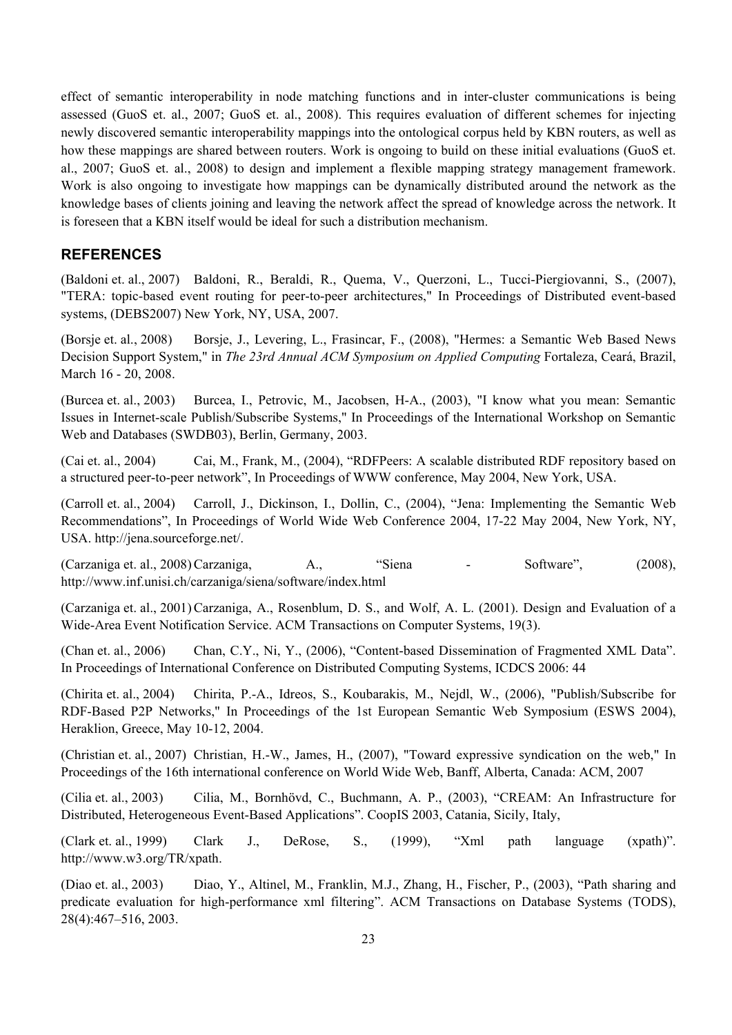effect of semantic interoperability in node matching functions and in inter-cluster communications is being assessed (GuoS et. al., 2007; GuoS et. al., 2008). This requires evaluation of different schemes for injecting newly discovered semantic interoperability mappings into the ontological corpus held by KBN routers, as well as how these mappings are shared between routers. Work is ongoing to build on these initial evaluations (GuoS et. al., 2007; GuoS et. al., 2008) to design and implement a flexible mapping strategy management framework. Work is also ongoing to investigate how mappings can be dynamically distributed around the network as the knowledge bases of clients joining and leaving the network affect the spread of knowledge across the network. It is foreseen that a KBN itself would be ideal for such a distribution mechanism.

### **REFERENCES**

(Baldoni et. al., 2007) Baldoni, R., Beraldi, R., Quema, V., Querzoni, L., Tucci-Piergiovanni, S., (2007), "TERA: topic-based event routing for peer-to-peer architectures," In Proceedings of Distributed event-based systems, (DEBS2007) New York, NY, USA, 2007.

(Borsje et. al., 2008) Borsje, J., Levering, L., Frasincar, F., (2008), "Hermes: a Semantic Web Based News Decision Support System," in *The 23rd Annual ACM Symposium on Applied Computing* Fortaleza, Ceará, Brazil, March 16 - 20, 2008.

(Burcea et. al., 2003) Burcea, I., Petrovic, M., Jacobsen, H-A., (2003), "I know what you mean: Semantic Issues in Internet-scale Publish/Subscribe Systems," In Proceedings of the International Workshop on Semantic Web and Databases (SWDB03), Berlin, Germany, 2003.

(Cai et. al., 2004) Cai, M., Frank, M., (2004), "RDFPeers: A scalable distributed RDF repository based on a structured peer-to-peer network", In Proceedings of WWW conference, May 2004, New York, USA.

(Carroll et. al., 2004) Carroll, J., Dickinson, I., Dollin, C., (2004), "Jena: Implementing the Semantic Web Recommendations", In Proceedings of World Wide Web Conference 2004, 17-22 May 2004, New York, NY, USA. http://jena.sourceforge.net/.

(Carzaniga et. al., 2008) Carzaniga, A., "Siena - Software", (2008), http://www.inf.unisi.ch/carzaniga/siena/software/index.html

(Carzaniga et. al., 2001) Carzaniga, A., Rosenblum, D. S., and Wolf, A. L. (2001). Design and Evaluation of a Wide-Area Event Notification Service. ACM Transactions on Computer Systems, 19(3).

(Chan et. al., 2006) Chan, C.Y., Ni, Y., (2006), "Content-based Dissemination of Fragmented XML Data". In Proceedings of International Conference on Distributed Computing Systems, ICDCS 2006: 44

(Chirita et. al., 2004) Chirita, P.-A., Idreos, S., Koubarakis, M., Nejdl, W., (2006), "Publish/Subscribe for RDF-Based P2P Networks," In Proceedings of the 1st European Semantic Web Symposium (ESWS 2004), Heraklion, Greece, May 10-12, 2004.

(Christian et. al., 2007) Christian, H.-W., James, H., (2007), "Toward expressive syndication on the web," In Proceedings of the 16th international conference on World Wide Web, Banff, Alberta, Canada: ACM, 2007

(Cilia et. al., 2003) Cilia, M., Bornhövd, C., Buchmann, A. P., (2003), "CREAM: An Infrastructure for Distributed, Heterogeneous Event-Based Applications". CoopIS 2003, Catania, Sicily, Italy,

(Clark et. al., 1999) Clark J., DeRose, S., (1999), "Xml path language (xpath)". http://www.w3.org/TR/xpath.

(Diao et. al., 2003) Diao, Y., Altinel, M., Franklin, M.J., Zhang, H., Fischer, P., (2003), "Path sharing and predicate evaluation for high-performance xml filtering". ACM Transactions on Database Systems (TODS), 28(4):467–516, 2003.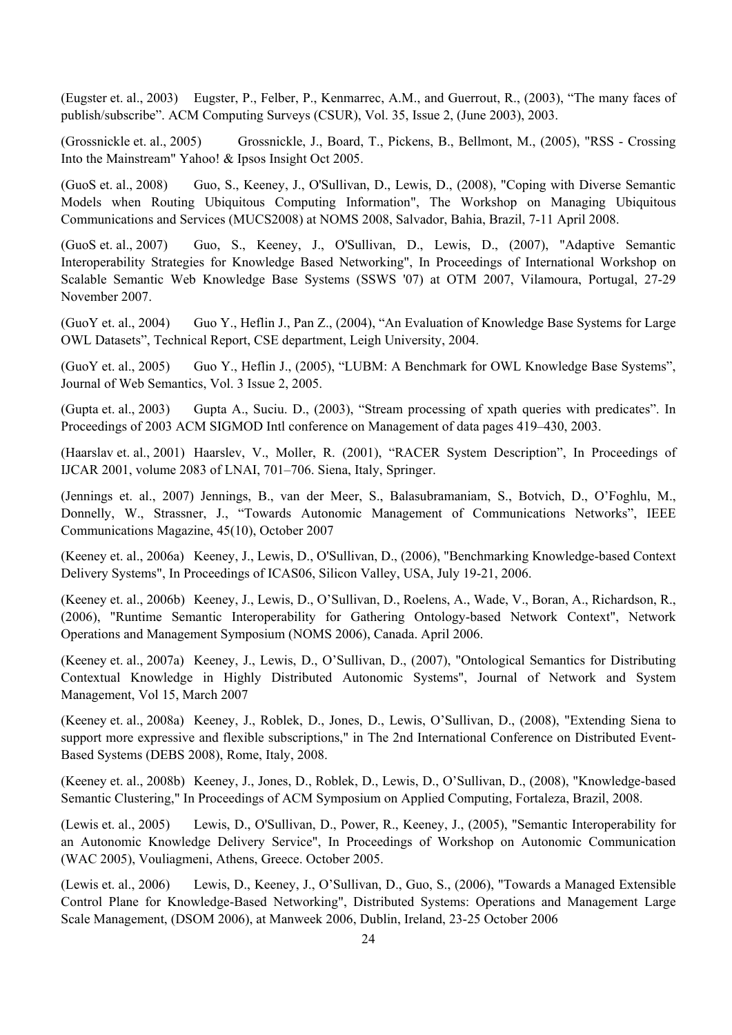(Eugster et. al., 2003) Eugster, P., Felber, P., Kenmarrec, A.M., and Guerrout, R., (2003), "The many faces of publish/subscribe". ACM Computing Surveys (CSUR), Vol. 35, Issue 2, (June 2003), 2003.

(Grossnickle et. al., 2005) Grossnickle, J., Board, T., Pickens, B., Bellmont, M., (2005), "RSS - Crossing Into the Mainstream" Yahoo! & Ipsos Insight Oct 2005.

(GuoS et. al., 2008) Guo, S., Keeney, J., O'Sullivan, D., Lewis, D., (2008), "Coping with Diverse Semantic Models when Routing Ubiquitous Computing Information", The Workshop on Managing Ubiquitous Communications and Services (MUCS2008) at NOMS 2008, Salvador, Bahia, Brazil, 7-11 April 2008.

(GuoS et. al., 2007) Guo, S., Keeney, J., O'Sullivan, D., Lewis, D., (2007), "Adaptive Semantic Interoperability Strategies for Knowledge Based Networking", In Proceedings of International Workshop on Scalable Semantic Web Knowledge Base Systems (SSWS '07) at OTM 2007, Vilamoura, Portugal, 27-29 November 2007.

(GuoY et. al., 2004) Guo Y., Heflin J., Pan Z., (2004), "An Evaluation of Knowledge Base Systems for Large OWL Datasets", Technical Report, CSE department, Leigh University, 2004.

(GuoY et. al., 2005) Guo Y., Heflin J., (2005), "LUBM: A Benchmark for OWL Knowledge Base Systems", Journal of Web Semantics, Vol. 3 Issue 2, 2005.

(Gupta et. al., 2003) Gupta A., Suciu. D., (2003), "Stream processing of xpath queries with predicates". In Proceedings of 2003 ACM SIGMOD Intl conference on Management of data pages 419–430, 2003.

(Haarslav et. al., 2001) Haarslev, V., Moller, R. (2001), "RACER System Description", In Proceedings of IJCAR 2001, volume 2083 of LNAI, 701–706. Siena, Italy, Springer.

(Jennings et. al., 2007) Jennings, B., van der Meer, S., Balasubramaniam, S., Botvich, D., O'Foghlu, M., Donnelly, W., Strassner, J., "Towards Autonomic Management of Communications Networks", IEEE Communications Magazine, 45(10), October 2007

(Keeney et. al., 2006a) Keeney, J., Lewis, D., O'Sullivan, D., (2006), "Benchmarking Knowledge-based Context Delivery Systems", In Proceedings of ICAS06, Silicon Valley, USA, July 19-21, 2006.

(Keeney et. al., 2006b) Keeney, J., Lewis, D., O'Sullivan, D., Roelens, A., Wade, V., Boran, A., Richardson, R., (2006), "Runtime Semantic Interoperability for Gathering Ontology-based Network Context", Network Operations and Management Symposium (NOMS 2006), Canada. April 2006.

(Keeney et. al., 2007a) Keeney, J., Lewis, D., O'Sullivan, D., (2007), "Ontological Semantics for Distributing Contextual Knowledge in Highly Distributed Autonomic Systems", Journal of Network and System Management, Vol 15, March 2007

(Keeney et. al., 2008a) Keeney, J., Roblek, D., Jones, D., Lewis, O'Sullivan, D., (2008), "Extending Siena to support more expressive and flexible subscriptions," in The 2nd International Conference on Distributed Event-Based Systems (DEBS 2008), Rome, Italy, 2008.

(Keeney et. al., 2008b) Keeney, J., Jones, D., Roblek, D., Lewis, D., O'Sullivan, D., (2008), "Knowledge-based Semantic Clustering," In Proceedings of ACM Symposium on Applied Computing, Fortaleza, Brazil, 2008.

(Lewis et. al., 2005) Lewis, D., O'Sullivan, D., Power, R., Keeney, J., (2005), "Semantic Interoperability for an Autonomic Knowledge Delivery Service", In Proceedings of Workshop on Autonomic Communication (WAC 2005), Vouliagmeni, Athens, Greece. October 2005.

(Lewis et. al., 2006) Lewis, D., Keeney, J., O'Sullivan, D., Guo, S., (2006), "Towards a Managed Extensible Control Plane for Knowledge-Based Networking", Distributed Systems: Operations and Management Large Scale Management, (DSOM 2006), at Manweek 2006, Dublin, Ireland, 23-25 October 2006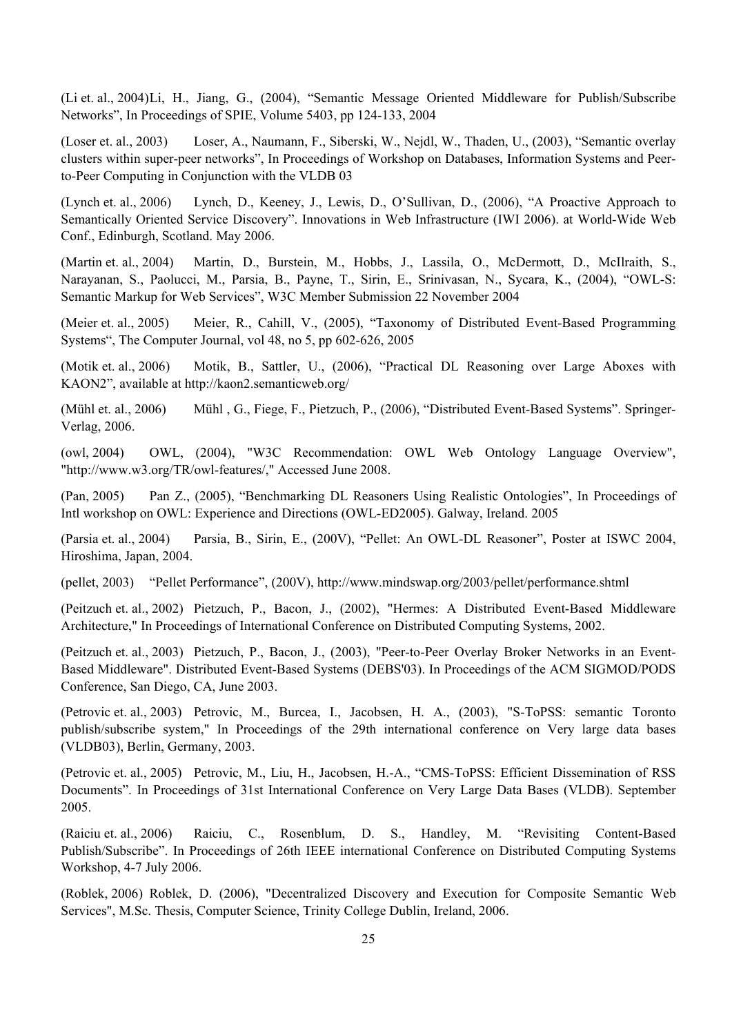(Li et. al., 2004) Li, H., Jiang, G., (2004), "Semantic Message Oriented Middleware for Publish/Subscribe Networks", In Proceedings of SPIE, Volume 5403, pp 124-133, 2004

(Loser et. al., 2003) Loser, A., Naumann, F., Siberski, W., Nejdl, W., Thaden, U., (2003), "Semantic overlay clusters within super-peer networks", In Proceedings of Workshop on Databases, Information Systems and Peerto-Peer Computing in Conjunction with the VLDB 03

(Lynch et. al., 2006) Lynch, D., Keeney, J., Lewis, D., O'Sullivan, D., (2006), "A Proactive Approach to Semantically Oriented Service Discovery". Innovations in Web Infrastructure (IWI 2006). at World-Wide Web Conf., Edinburgh, Scotland. May 2006.

(Martin et. al., 2004) Martin, D., Burstein, M., Hobbs, J., Lassila, O., McDermott, D., McIlraith, S., Narayanan, S., Paolucci, M., Parsia, B., Payne, T., Sirin, E., Srinivasan, N., Sycara, K., (2004), "OWL-S: Semantic Markup for Web Services", W3C Member Submission 22 November 2004

(Meier et. al., 2005) Meier, R., Cahill, V., (2005), "Taxonomy of Distributed Event-Based Programming Systems", The Computer Journal, vol 48, no 5, pp 602-626, 2005

(Motik et. al., 2006) Motik, B., Sattler, U., (2006), "Practical DL Reasoning over Large Aboxes with KAON2", available at http://kaon2.semanticweb.org/

(Mühl et. al., 2006) Mühl , G., Fiege, F., Pietzuch, P., (2006), "Distributed Event-Based Systems". Springer-Verlag, 2006.

(owl, 2004) OWL, (2004), "W3C Recommendation: OWL Web Ontology Language Overview", "http://www.w3.org/TR/owl-features/," Accessed June 2008.

(Pan, 2005) Pan Z., (2005), "Benchmarking DL Reasoners Using Realistic Ontologies", In Proceedings of Intl workshop on OWL: Experience and Directions (OWL-ED2005). Galway, Ireland. 2005

(Parsia et. al., 2004) Parsia, B., Sirin, E., (200V), "Pellet: An OWL-DL Reasoner", Poster at ISWC 2004, Hiroshima, Japan, 2004.

(pellet, 2003) "Pellet Performance", (200V), http://www.mindswap.org/2003/pellet/performance.shtml

(Peitzuch et. al., 2002) Pietzuch, P., Bacon, J., (2002), "Hermes: A Distributed Event-Based Middleware Architecture," In Proceedings of International Conference on Distributed Computing Systems, 2002.

(Peitzuch et. al., 2003) Pietzuch, P., Bacon, J., (2003), "Peer-to-Peer Overlay Broker Networks in an Event-Based Middleware". Distributed Event-Based Systems (DEBS'03). In Proceedings of the ACM SIGMOD/PODS Conference, San Diego, CA, June 2003.

(Petrovic et. al., 2003) Petrovic, M., Burcea, I., Jacobsen, H. A., (2003), "S-ToPSS: semantic Toronto publish/subscribe system," In Proceedings of the 29th international conference on Very large data bases (VLDB03), Berlin, Germany, 2003.

(Petrovic et. al., 2005) Petrovic, M., Liu, H., Jacobsen, H.-A., "CMS-ToPSS: Efficient Dissemination of RSS Documents". In Proceedings of 31st International Conference on Very Large Data Bases (VLDB). September 2005.

(Raiciu et. al., 2006) Raiciu, C., Rosenblum, D. S., Handley, M. "Revisiting Content-Based Publish/Subscribe". In Proceedings of 26th IEEE international Conference on Distributed Computing Systems Workshop, 4-7 July 2006.

(Roblek, 2006) Roblek, D. (2006), "Decentralized Discovery and Execution for Composite Semantic Web Services", M.Sc. Thesis, Computer Science, Trinity College Dublin, Ireland, 2006.